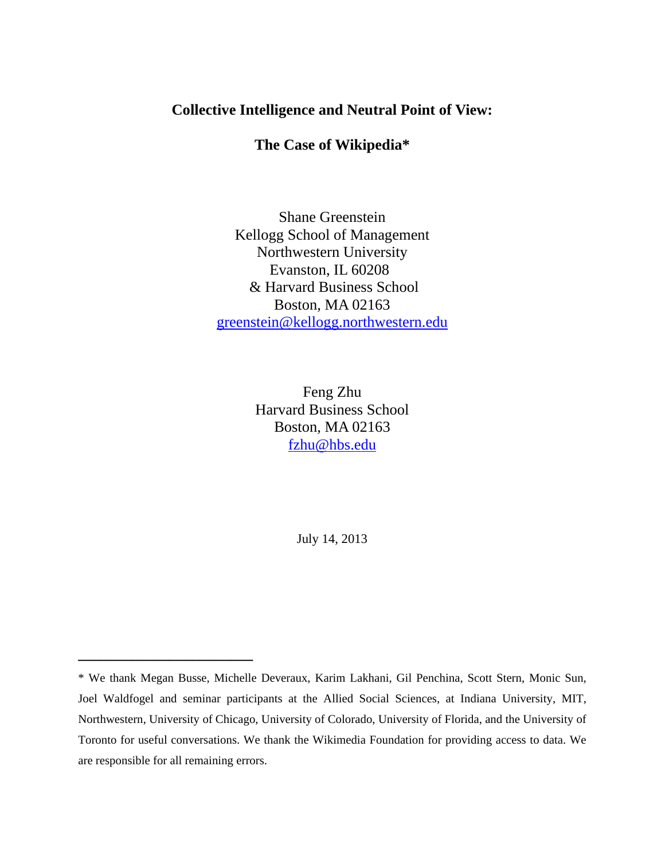# **Collective Intelligence and Neutral Point of View:**

## **The Case of Wikipedia\***

Shane Greenstein Kellogg School of Management Northwestern University Evanston, IL 60208 & Harvard Business School Boston, MA 02163 [greenstein@kellogg.northwestern.edu](mailto:greenstein@kellogg.northwestern.edu)

> Feng Zhu Harvard Business School Boston, MA 02163 [fzhu@hbs.edu](mailto:fzhu@hbs.edu)

> > July 14, 2013

**\_\_\_\_\_\_\_\_\_\_\_\_\_\_\_\_\_\_\_\_\_\_\_**

<sup>\*</sup> We thank Megan Busse, Michelle Deveraux, Karim Lakhani, Gil Penchina, Scott Stern, Monic Sun, Joel Waldfogel and seminar participants at the Allied Social Sciences, at Indiana University, MIT, Northwestern, University of Chicago, University of Colorado, University of Florida, and the University of Toronto for useful conversations. We thank the Wikimedia Foundation for providing access to data. We are responsible for all remaining errors.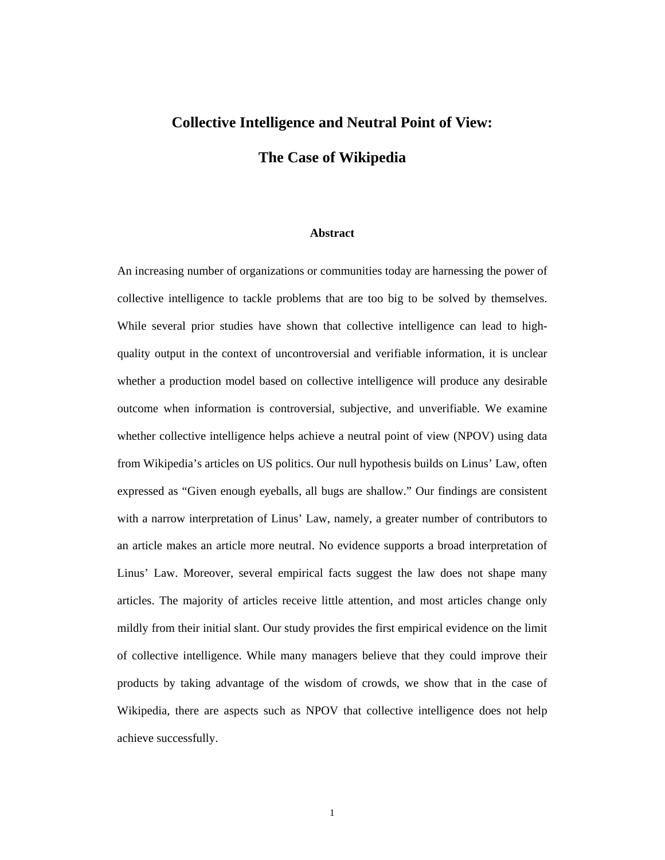## **Collective Intelligence and Neutral Point of View:**

**The Case of Wikipedia**

#### **Abstract**

An increasing number of organizations or communities today are harnessing the power of collective intelligence to tackle problems that are too big to be solved by themselves. While several prior studies have shown that collective intelligence can lead to highquality output in the context of uncontroversial and verifiable information, it is unclear whether a production model based on collective intelligence will produce any desirable outcome when information is controversial, subjective, and unverifiable. We examine whether collective intelligence helps achieve a neutral point of view (NPOV) using data from Wikipedia's articles on US politics. Our null hypothesis builds on Linus' Law, often expressed as "Given enough eyeballs, all bugs are shallow." Our findings are consistent with a narrow interpretation of Linus' Law, namely, a greater number of contributors to an article makes an article more neutral. No evidence supports a broad interpretation of Linus' Law. Moreover, several empirical facts suggest the law does not shape many articles. The majority of articles receive little attention, and most articles change only mildly from their initial slant. Our study provides the first empirical evidence on the limit of collective intelligence. While many managers believe that they could improve their products by taking advantage of the wisdom of crowds, we show that in the case of Wikipedia, there are aspects such as NPOV that collective intelligence does not help achieve successfully.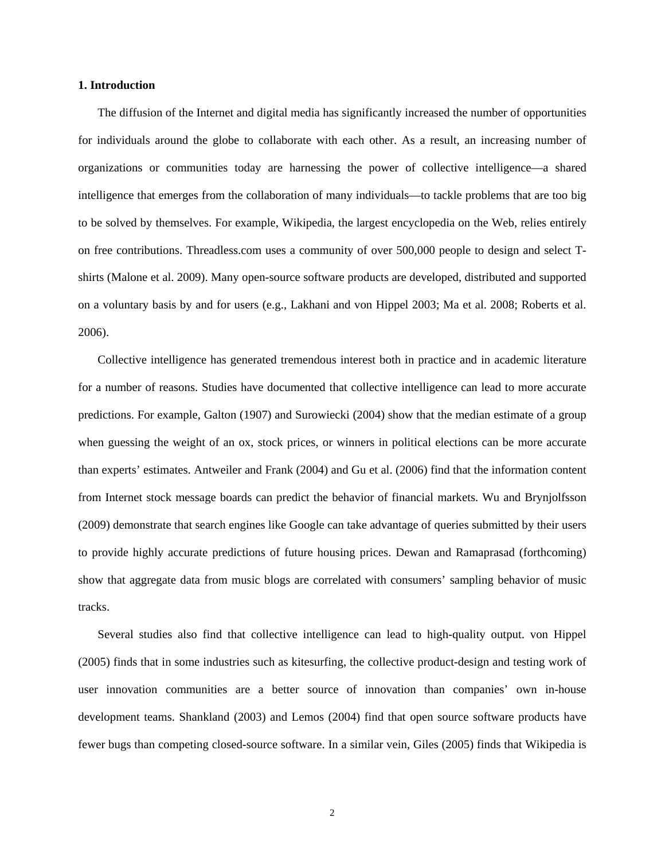#### **1. Introduction**

The diffusion of the Internet and digital media has significantly increased the number of opportunities for individuals around the globe to collaborate with each other. As a result, an increasing number of organizations or communities today are harnessing the power of collective intelligence—a shared intelligence that emerges from the collaboration of many individuals—to tackle problems that are too big to be solved by themselves. For example, Wikipedia, the largest encyclopedia on the Web, relies entirely on free contributions. Threadless.com uses a community of over 500,000 people to design and select Tshirts (Malone et al. 2009). Many open-source software products are developed, distributed and supported on a voluntary basis by and for users (e.g., Lakhani and von Hippel 2003; Ma et al. 2008; Roberts et al. 2006).

Collective intelligence has generated tremendous interest both in practice and in academic literature for a number of reasons. Studies have documented that collective intelligence can lead to more accurate predictions. For example, Galton (1907) and Surowiecki (2004) show that the median estimate of a group when guessing the weight of an ox, stock prices, or winners in political elections can be more accurate than experts' estimates. Antweiler and Frank (2004) and Gu et al. (2006) find that the information content from Internet stock message boards can predict the behavior of financial markets. Wu and Brynjolfsson (2009) demonstrate that search engines like Google can take advantage of queries submitted by their users to provide highly accurate predictions of future housing prices. Dewan and Ramaprasad (forthcoming) show that aggregate data from music blogs are correlated with consumers' sampling behavior of music tracks.

Several studies also find that collective intelligence can lead to high-quality output. von Hippel (2005) finds that in some industries such as kitesurfing, the collective product-design and testing work of user innovation communities are a better source of innovation than companies' own in-house development teams. Shankland (2003) and Lemos (2004) find that open source software products have fewer bugs than competing closed-source software. In a similar vein, Giles (2005) finds that Wikipedia is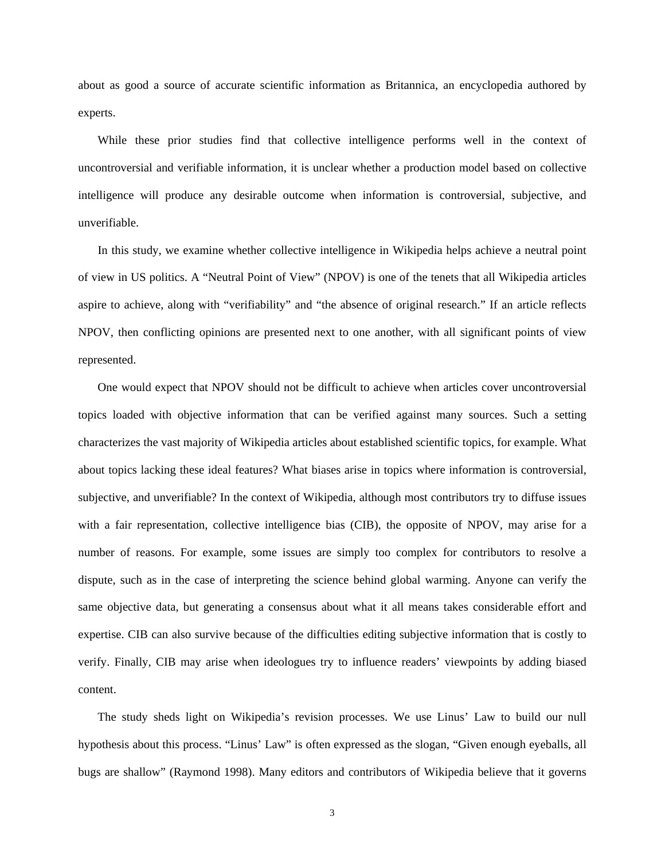about as good a source of accurate scientific information as Britannica, an encyclopedia authored by experts.

While these prior studies find that collective intelligence performs well in the context of uncontroversial and verifiable information, it is unclear whether a production model based on collective intelligence will produce any desirable outcome when information is controversial, subjective, and unverifiable.

In this study, we examine whether collective intelligence in Wikipedia helps achieve a neutral point of view in US politics. A "Neutral Point of View" (NPOV) is one of the tenets that all Wikipedia articles aspire to achieve, along with "verifiability" and "the absence of original research." If an article reflects NPOV, then conflicting opinions are presented next to one another, with all significant points of view represented.

One would expect that NPOV should not be difficult to achieve when articles cover uncontroversial topics loaded with objective information that can be verified against many sources. Such a setting characterizes the vast majority of Wikipedia articles about established scientific topics, for example. What about topics lacking these ideal features? What biases arise in topics where information is controversial, subjective, and unverifiable? In the context of Wikipedia, although most contributors try to diffuse issues with a fair representation, collective intelligence bias (CIB), the opposite of NPOV, may arise for a number of reasons. For example, some issues are simply too complex for contributors to resolve a dispute, such as in the case of interpreting the science behind global warming. Anyone can verify the same objective data, but generating a consensus about what it all means takes considerable effort and expertise. CIB can also survive because of the difficulties editing subjective information that is costly to verify. Finally, CIB may arise when ideologues try to influence readers' viewpoints by adding biased content.

The study sheds light on Wikipedia's revision processes. We use Linus' Law to build our null hypothesis about this process. "Linus' Law" is often expressed as the slogan, "Given enough eyeballs, all bugs are shallow" (Raymond 1998). Many editors and contributors of Wikipedia believe that it governs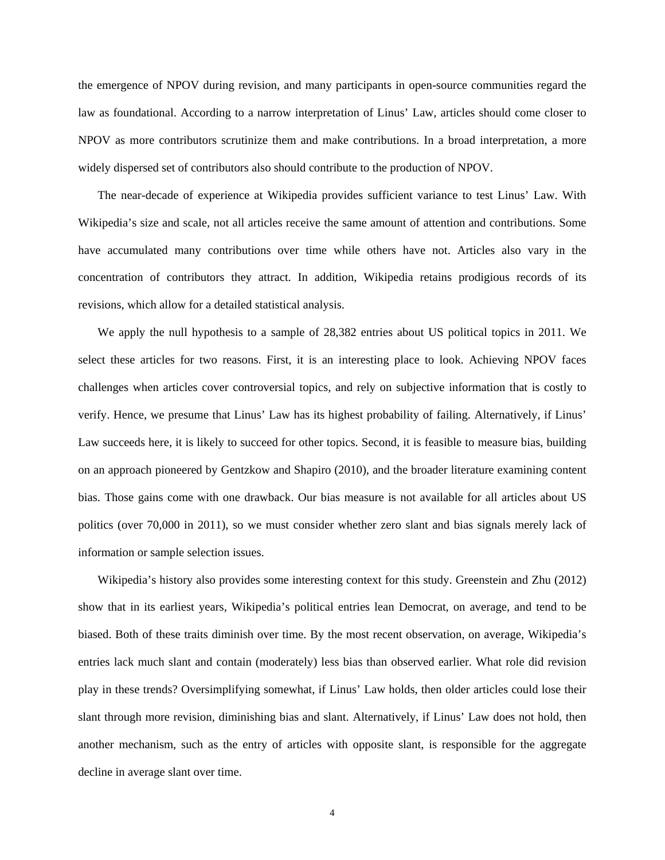the emergence of NPOV during revision, and many participants in open-source communities regard the law as foundational. According to a narrow interpretation of Linus' Law, articles should come closer to NPOV as more contributors scrutinize them and make contributions. In a broad interpretation, a more widely dispersed set of contributors also should contribute to the production of NPOV.

The near-decade of experience at Wikipedia provides sufficient variance to test Linus' Law. With Wikipedia's size and scale, not all articles receive the same amount of attention and contributions. Some have accumulated many contributions over time while others have not. Articles also vary in the concentration of contributors they attract. In addition, Wikipedia retains prodigious records of its revisions, which allow for a detailed statistical analysis.

We apply the null hypothesis to a sample of 28,382 entries about US political topics in 2011. We select these articles for two reasons. First, it is an interesting place to look. Achieving NPOV faces challenges when articles cover controversial topics, and rely on subjective information that is costly to verify. Hence, we presume that Linus' Law has its highest probability of failing. Alternatively, if Linus' Law succeeds here, it is likely to succeed for other topics. Second, it is feasible to measure bias, building on an approach pioneered by Gentzkow and Shapiro (2010), and the broader literature examining content bias. Those gains come with one drawback. Our bias measure is not available for all articles about US politics (over 70,000 in 2011), so we must consider whether zero slant and bias signals merely lack of information or sample selection issues.

Wikipedia's history also provides some interesting context for this study. Greenstein and Zhu (2012) show that in its earliest years, Wikipedia's political entries lean Democrat, on average, and tend to be biased. Both of these traits diminish over time. By the most recent observation, on average, Wikipedia's entries lack much slant and contain (moderately) less bias than observed earlier. What role did revision play in these trends? Oversimplifying somewhat, if Linus' Law holds, then older articles could lose their slant through more revision, diminishing bias and slant. Alternatively, if Linus' Law does not hold, then another mechanism, such as the entry of articles with opposite slant, is responsible for the aggregate decline in average slant over time.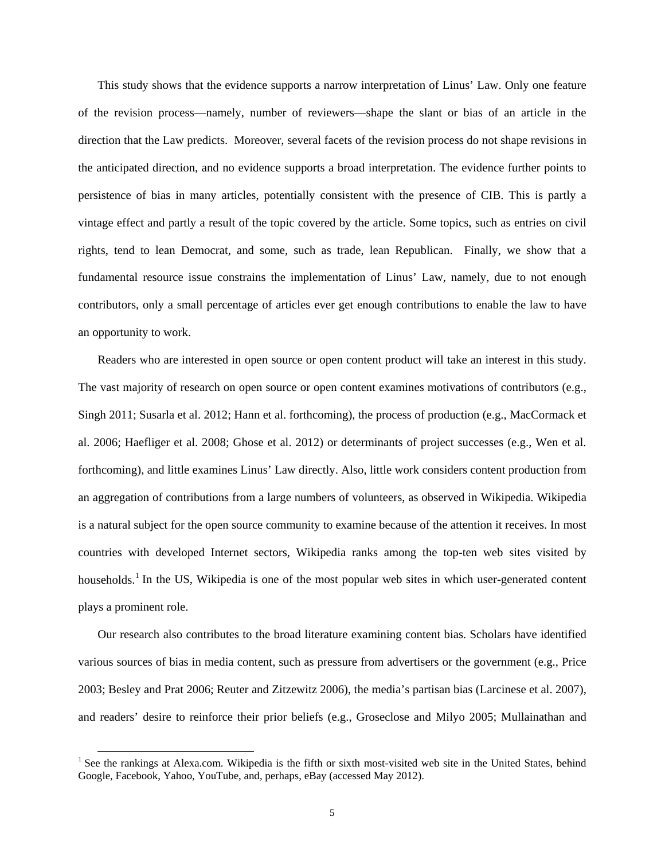This study shows that the evidence supports a narrow interpretation of Linus' Law. Only one feature of the revision process—namely, number of reviewers—shape the slant or bias of an article in the direction that the Law predicts. Moreover, several facets of the revision process do not shape revisions in the anticipated direction, and no evidence supports a broad interpretation. The evidence further points to persistence of bias in many articles, potentially consistent with the presence of CIB. This is partly a vintage effect and partly a result of the topic covered by the article. Some topics, such as entries on civil rights, tend to lean Democrat, and some, such as trade, lean Republican. Finally, we show that a fundamental resource issue constrains the implementation of Linus' Law, namely, due to not enough contributors, only a small percentage of articles ever get enough contributions to enable the law to have an opportunity to work.

Readers who are interested in open source or open content product will take an interest in this study. The vast majority of research on open source or open content examines motivations of contributors (e.g., Singh 2011; Susarla et al. 2012; Hann et al. forthcoming), the process of production (e.g., MacCormack et al. 2006; Haefliger et al. 2008; Ghose et al. 2012) or determinants of project successes (e.g., Wen et al. forthcoming), and little examines Linus' Law directly. Also, little work considers content production from an aggregation of contributions from a large numbers of volunteers, as observed in Wikipedia. Wikipedia is a natural subject for the open source community to examine because of the attention it receives. In most countries with developed Internet sectors, Wikipedia ranks among the top-ten web sites visited by households.<sup>[1](#page-5-0)</sup> In the US, Wikipedia is one of the most popular web sites in which user-generated content plays a prominent role.

Our research also contributes to the broad literature examining content bias. Scholars have identified various sources of bias in media content, such as pressure from advertisers or the government (e.g., Price 2003; Besley and Prat 2006; Reuter and Zitzewitz 2006), the media's partisan bias (Larcinese et al. 2007), and readers' desire to reinforce their prior beliefs (e.g., Groseclose and Milyo 2005; Mullainathan and

<span id="page-5-0"></span><sup>&</sup>lt;sup>1</sup> See the rankings at Alexa.com. Wikipedia is the fifth or sixth most-visited web site in the United States, behind Google, Facebook, Yahoo, YouTube, and, perhaps, eBay (accessed May 2012).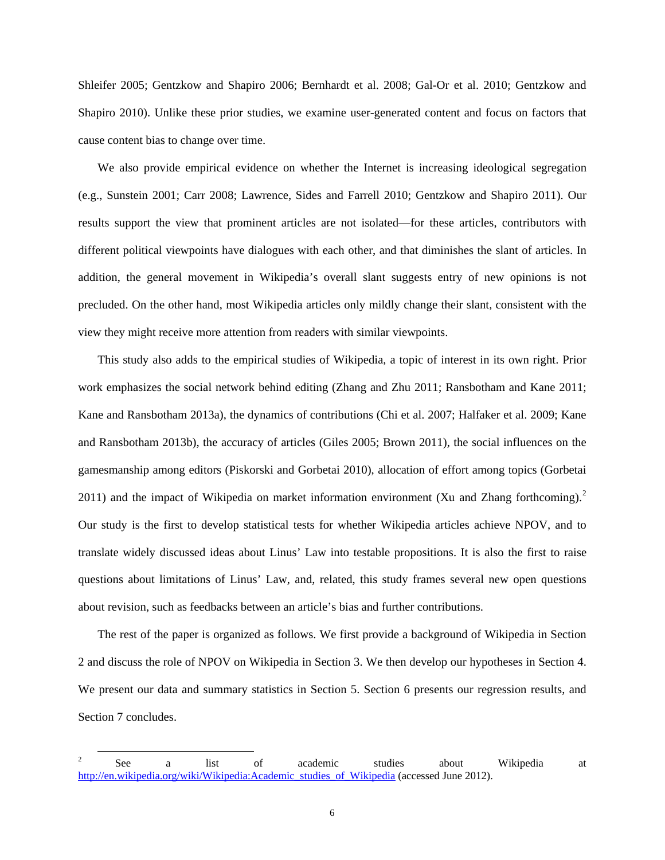Shleifer 2005; Gentzkow and Shapiro 2006; Bernhardt et al. 2008; Gal-Or et al. 2010; Gentzkow and Shapiro 2010). Unlike these prior studies, we examine user-generated content and focus on factors that cause content bias to change over time.

We also provide empirical evidence on whether the Internet is increasing ideological segregation (e.g., Sunstein 2001; Carr 2008; Lawrence, Sides and Farrell 2010; Gentzkow and Shapiro 2011). Our results support the view that prominent articles are not isolated—for these articles, contributors with different political viewpoints have dialogues with each other, and that diminishes the slant of articles. In addition, the general movement in Wikipedia's overall slant suggests entry of new opinions is not precluded. On the other hand, most Wikipedia articles only mildly change their slant, consistent with the view they might receive more attention from readers with similar viewpoints.

This study also adds to the empirical studies of Wikipedia, a topic of interest in its own right. Prior work emphasizes the social network behind editing (Zhang and Zhu 2011; Ransbotham and Kane 2011; Kane and Ransbotham 2013a), the dynamics of contributions (Chi et al. 2007; Halfaker et al. 2009; Kane and Ransbotham 2013b), the accuracy of articles (Giles 2005; Brown 2011), the social influences on the gamesmanship among editors (Piskorski and Gorbetai 2010), allocation of effort among topics (Gorbetai [2](#page-6-0)011) and the impact of Wikipedia on market information environment (Xu and Zhang forthcoming).<sup>2</sup> Our study is the first to develop statistical tests for whether Wikipedia articles achieve NPOV, and to translate widely discussed ideas about Linus' Law into testable propositions. It is also the first to raise questions about limitations of Linus' Law, and, related, this study frames several new open questions about revision, such as feedbacks between an article's bias and further contributions.

The rest of the paper is organized as follows. We first provide a background of Wikipedia in Section 2 and discuss the role of NPOV on Wikipedia in Section 3. We then develop our hypotheses in Section 4. We present our data and summary statistics in Section 5. Section 6 presents our regression results, and Section 7 concludes.

<span id="page-6-0"></span><sup>2</sup> **See a** list of academic studies about Wikipedia at [http://en.wikipedia.org/wiki/Wikipedia:Academic\\_studies\\_of\\_Wikipedia](http://en.wikipedia.org/wiki/Wikipedia:Academic_studies_of_Wikipedia) (accessed June 2012).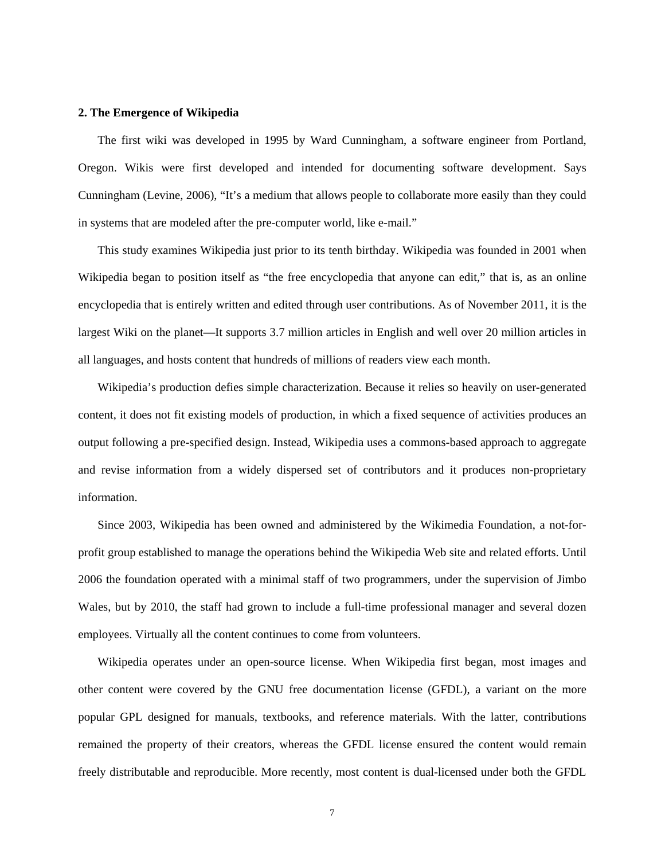#### **2. The Emergence of Wikipedia**

The first wiki was developed in 1995 by Ward Cunningham, a software engineer from Portland, Oregon. Wikis were first developed and intended for documenting software development. Says Cunningham (Levine, 2006), "It's a medium that allows people to collaborate more easily than they could in systems that are modeled after the pre-computer world, like e-mail."

This study examines Wikipedia just prior to its tenth birthday. Wikipedia was founded in 2001 when Wikipedia began to position itself as "the free encyclopedia that anyone can edit," that is, as an online encyclopedia that is entirely written and edited through user contributions. As of November 2011, it is the largest Wiki on the planet—It supports 3.7 million articles in English and well over 20 million articles in all languages, and hosts content that hundreds of millions of readers view each month.

Wikipedia's production defies simple characterization. Because it relies so heavily on user-generated content, it does not fit existing models of production, in which a fixed sequence of activities produces an output following a pre-specified design. Instead, Wikipedia uses a commons-based approach to aggregate and revise information from a widely dispersed set of contributors and it produces non-proprietary information.

Since 2003, Wikipedia has been owned and administered by the Wikimedia Foundation, a not-forprofit group established to manage the operations behind the Wikipedia Web site and related efforts. Until 2006 the foundation operated with a minimal staff of two programmers, under the supervision of Jimbo Wales, but by 2010, the staff had grown to include a full-time professional manager and several dozen employees. Virtually all the content continues to come from volunteers.

Wikipedia operates under an open-source license. When Wikipedia first began, most images and other content were covered by the GNU free documentation license (GFDL), a variant on the more popular GPL designed for manuals, textbooks, and reference materials. With the latter, contributions remained the property of their creators, whereas the GFDL license ensured the content would remain freely distributable and reproducible. More recently, most content is dual-licensed under both the GFDL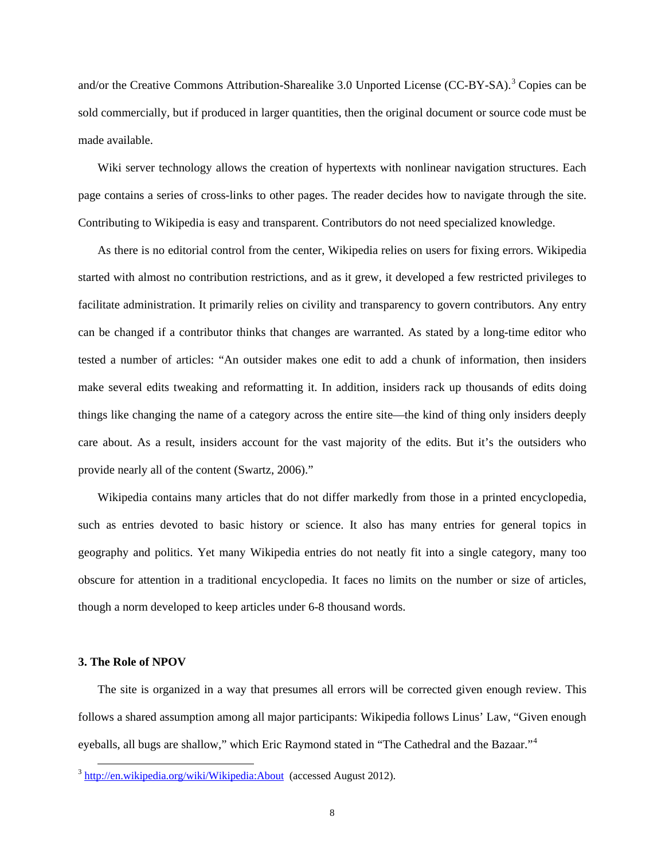and/or the Creative Commons Attribution-Sharealike [3](#page-8-0).0 Unported License (CC-BY-SA).<sup>3</sup> Copies can be sold commercially, but if produced in larger quantities, then the original document or source code must be made available.

Wiki server technology allows the creation of hypertexts with nonlinear navigation structures. Each page contains a series of cross-links to other pages. The reader decides how to navigate through the site. Contributing to Wikipedia is easy and transparent. Contributors do not need specialized knowledge.

As there is no editorial control from the center, Wikipedia relies on users for fixing errors. Wikipedia started with almost no contribution restrictions, and as it grew, it developed a few restricted privileges to facilitate administration. It primarily relies on civility and transparency to govern contributors. Any entry can be changed if a contributor thinks that changes are warranted. As stated by a long-time editor who tested a number of articles: "An outsider makes one edit to add a chunk of information, then insiders make several edits tweaking and reformatting it. In addition, insiders rack up thousands of edits doing things like changing the name of a category across the entire site—the kind of thing only insiders deeply care about. As a result, insiders account for the vast majority of the edits. But it's the outsiders who provide nearly all of the content (Swartz, 2006)."

Wikipedia contains many articles that do not differ markedly from those in a printed encyclopedia, such as entries devoted to basic history or science. It also has many entries for general topics in geography and politics. Yet many Wikipedia entries do not neatly fit into a single category, many too obscure for attention in a traditional encyclopedia. It faces no limits on the number or size of articles, though a norm developed to keep articles under 6-8 thousand words.

#### **3. The Role of NPOV**

<span id="page-8-1"></span>The site is organized in a way that presumes all errors will be corrected given enough review. This follows a shared assumption among all major participants: Wikipedia follows Linus' Law, "Given enough eyeballs, all bugs are shallow," which Eric Raymond stated in "The Cathedral and the Bazaar."[4](#page-8-1)

<span id="page-8-0"></span> <sup>3</sup> <http://en.wikipedia.org/wiki/Wikipedia:About>(accessed August 2012).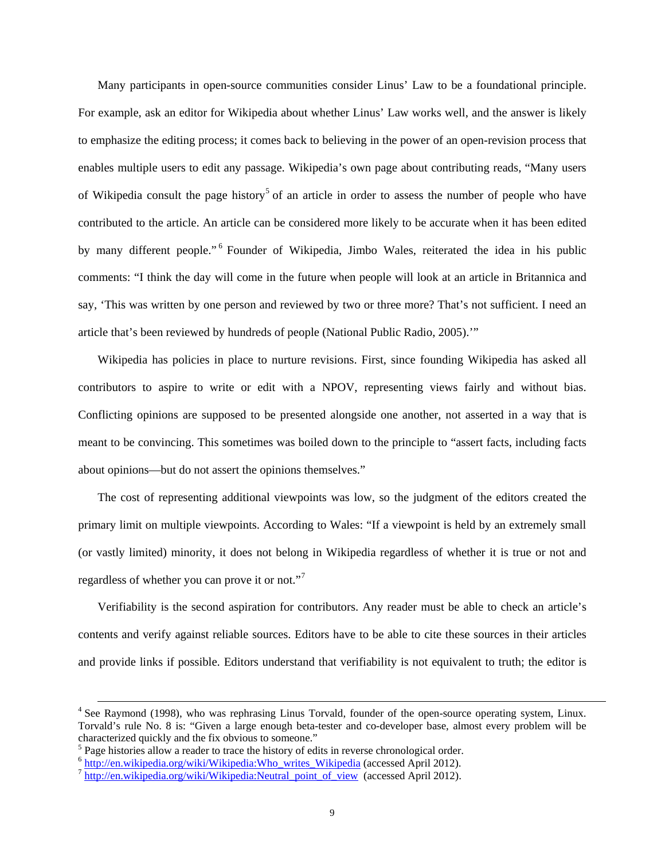Many participants in open-source communities consider Linus' Law to be a foundational principle. For example, ask an editor for Wikipedia about whether Linus' Law works well, and the answer is likely to emphasize the editing process; it comes back to believing in the power of an open-revision process that enables multiple users to edit any passage. Wikipedia's own page about contributing reads, "Many users of Wikipedia consult the page history<sup>[5](#page-9-0)</sup> of an article in order to assess the number of people who have contributed to the article. An article can be considered more likely to be accurate when it has been edited by many different people."<sup>[6](#page-9-1)</sup> Founder of Wikipedia, Jimbo Wales, reiterated the idea in his public comments: "I think the day will come in the future when people will look at an article in Britannica and say, 'This was written by one person and reviewed by two or three more? That's not sufficient. I need an article that's been reviewed by hundreds of people (National Public Radio, 2005).'"

Wikipedia has policies in place to nurture revisions. First, since founding Wikipedia has asked all contributors to aspire to write or edit with a NPOV, representing views fairly and without bias. Conflicting opinions are supposed to be presented alongside one another, not asserted in a way that is meant to be convincing. This sometimes was boiled down to the principle to "assert facts, including facts about opinions—but do not assert the opinions themselves."

The cost of representing additional viewpoints was low, so the judgment of the editors created the primary limit on multiple viewpoints. According to Wales: "If a viewpoint is held by an extremely small (or vastly limited) minority, it does not belong in Wikipedia regardless of whether it is true or not and regardless of whether you can prove it or not."[7](#page-9-2)

Verifiability is the second aspiration for contributors. Any reader must be able to check an article's contents and verify against reliable sources. Editors have to be able to cite these sources in their articles and provide links if possible. Editors understand that verifiability is not equivalent to truth; the editor is

<sup>&</sup>lt;sup>4</sup> See Raymond (1998), who was rephrasing Linus Torvald, founder of the open-source operating system, Linux. Torvald's rule No. 8 is: "Given a large enough beta-tester and co-developer base, almost every problem will be characterized quickly and the fix obvious to someone."

<sup>&</sup>lt;sup>5</sup> Page histories allow a reader to trace the history of edits in reverse chronological order.

<span id="page-9-1"></span><span id="page-9-0"></span><sup>6</sup> [http://en.wikipedia.org/wiki/Wikipedia:Who\\_writes\\_Wikipedia](http://en.wikipedia.org/wiki/Wikipedia:Who_writes_Wikipedia) (accessed April 2012).<br>7 [http://en.wikipedia.org/wiki/Wikipedia:Neutral\\_point\\_of\\_view](http://en.wikipedia.org/wiki/Wikipedia:Neutral_point_of_view) (accessed April 2012).

<span id="page-9-2"></span>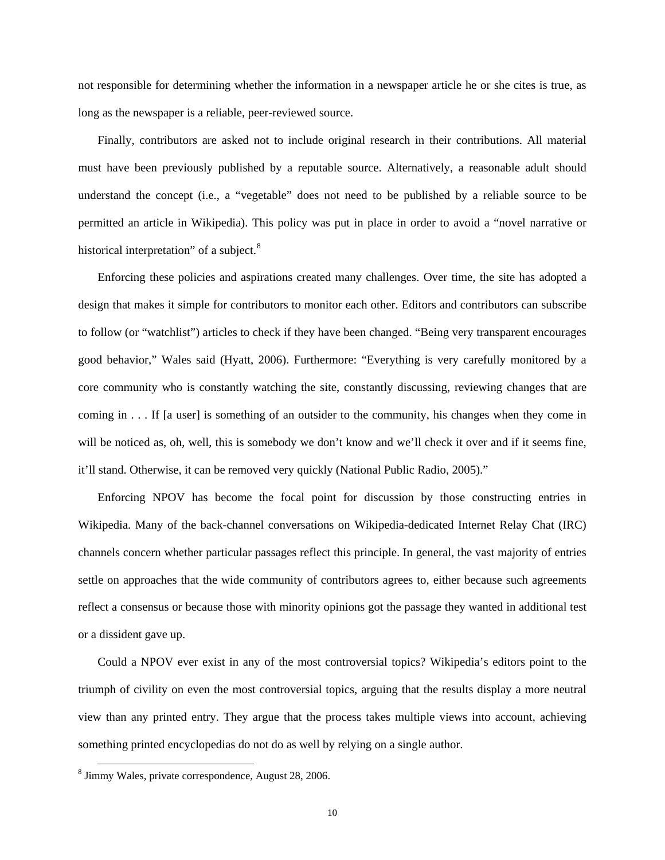not responsible for determining whether the information in a newspaper article he or she cites is true, as long as the newspaper is a reliable, peer-reviewed source.

Finally, contributors are asked not to include original research in their contributions. All material must have been previously published by a reputable source. Alternatively, a reasonable adult should understand the concept (i.e., a "vegetable" does not need to be published by a reliable source to be permitted an article in Wikipedia). This policy was put in place in order to avoid a "novel narrative or historical interpretation" of a subject.<sup>[8](#page-10-0)</sup>

Enforcing these policies and aspirations created many challenges. Over time, the site has adopted a design that makes it simple for contributors to monitor each other. Editors and contributors can subscribe to follow (or "watchlist") articles to check if they have been changed. "Being very transparent encourages good behavior," Wales said (Hyatt, 2006). Furthermore: "Everything is very carefully monitored by a core community who is constantly watching the site, constantly discussing, reviewing changes that are coming in . . . If [a user] is something of an outsider to the community, his changes when they come in will be noticed as, oh, well, this is somebody we don't know and we'll check it over and if it seems fine, it'll stand. Otherwise, it can be removed very quickly (National Public Radio, 2005)."

Enforcing NPOV has become the focal point for discussion by those constructing entries in Wikipedia. Many of the back-channel conversations on Wikipedia-dedicated Internet Relay Chat (IRC) channels concern whether particular passages reflect this principle. In general, the vast majority of entries settle on approaches that the wide community of contributors agrees to, either because such agreements reflect a consensus or because those with minority opinions got the passage they wanted in additional test or a dissident gave up.

Could a NPOV ever exist in any of the most controversial topics? Wikipedia's editors point to the triumph of civility on even the most controversial topics, arguing that the results display a more neutral view than any printed entry. They argue that the process takes multiple views into account, achieving something printed encyclopedias do not do as well by relying on a single author.

<span id="page-10-0"></span> <sup>8</sup> Jimmy Wales, private correspondence, August 28, 2006.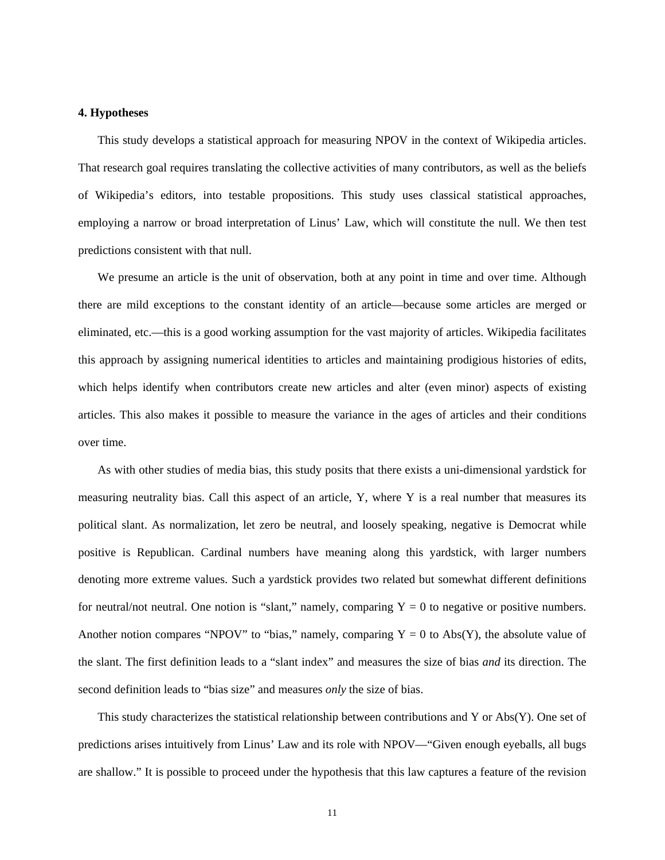#### **4. Hypotheses**

This study develops a statistical approach for measuring NPOV in the context of Wikipedia articles. That research goal requires translating the collective activities of many contributors, as well as the beliefs of Wikipedia's editors, into testable propositions. This study uses classical statistical approaches, employing a narrow or broad interpretation of Linus' Law, which will constitute the null. We then test predictions consistent with that null.

We presume an article is the unit of observation, both at any point in time and over time. Although there are mild exceptions to the constant identity of an article—because some articles are merged or eliminated, etc.—this is a good working assumption for the vast majority of articles. Wikipedia facilitates this approach by assigning numerical identities to articles and maintaining prodigious histories of edits, which helps identify when contributors create new articles and alter (even minor) aspects of existing articles. This also makes it possible to measure the variance in the ages of articles and their conditions over time.

As with other studies of media bias, this study posits that there exists a uni-dimensional yardstick for measuring neutrality bias. Call this aspect of an article, Y, where Y is a real number that measures its political slant. As normalization, let zero be neutral, and loosely speaking, negative is Democrat while positive is Republican. Cardinal numbers have meaning along this yardstick, with larger numbers denoting more extreme values. Such a yardstick provides two related but somewhat different definitions for neutral/not neutral. One notion is "slant," namely, comparing  $Y = 0$  to negative or positive numbers. Another notion compares "NPOV" to "bias," namely, comparing  $Y = 0$  to Abs(Y), the absolute value of the slant. The first definition leads to a "slant index" and measures the size of bias *and* its direction. The second definition leads to "bias size" and measures *only* the size of bias.

This study characterizes the statistical relationship between contributions and Y or Abs(Y). One set of predictions arises intuitively from Linus' Law and its role with NPOV—"Given enough eyeballs, all bugs are shallow." It is possible to proceed under the hypothesis that this law captures a feature of the revision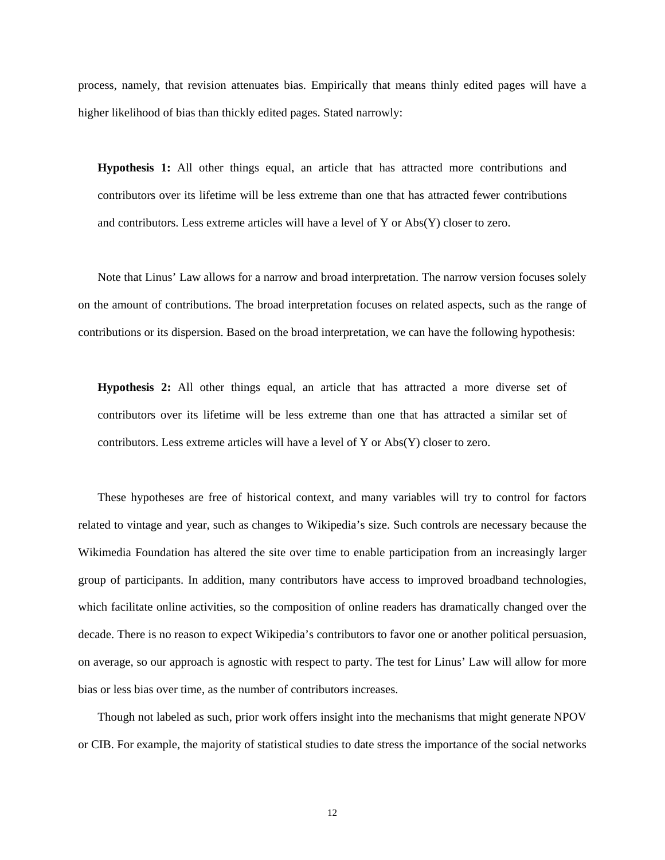process, namely, that revision attenuates bias. Empirically that means thinly edited pages will have a higher likelihood of bias than thickly edited pages. Stated narrowly:

**Hypothesis 1:** All other things equal, an article that has attracted more contributions and contributors over its lifetime will be less extreme than one that has attracted fewer contributions and contributors. Less extreme articles will have a level of Y or Abs(Y) closer to zero.

Note that Linus' Law allows for a narrow and broad interpretation. The narrow version focuses solely on the amount of contributions. The broad interpretation focuses on related aspects, such as the range of contributions or its dispersion. Based on the broad interpretation, we can have the following hypothesis:

**Hypothesis 2:** All other things equal, an article that has attracted a more diverse set of contributors over its lifetime will be less extreme than one that has attracted a similar set of contributors. Less extreme articles will have a level of Y or Abs(Y) closer to zero.

These hypotheses are free of historical context, and many variables will try to control for factors related to vintage and year, such as changes to Wikipedia's size. Such controls are necessary because the Wikimedia Foundation has altered the site over time to enable participation from an increasingly larger group of participants. In addition, many contributors have access to improved broadband technologies, which facilitate online activities, so the composition of online readers has dramatically changed over the decade. There is no reason to expect Wikipedia's contributors to favor one or another political persuasion, on average, so our approach is agnostic with respect to party. The test for Linus' Law will allow for more bias or less bias over time, as the number of contributors increases.

Though not labeled as such, prior work offers insight into the mechanisms that might generate NPOV or CIB. For example, the majority of statistical studies to date stress the importance of the social networks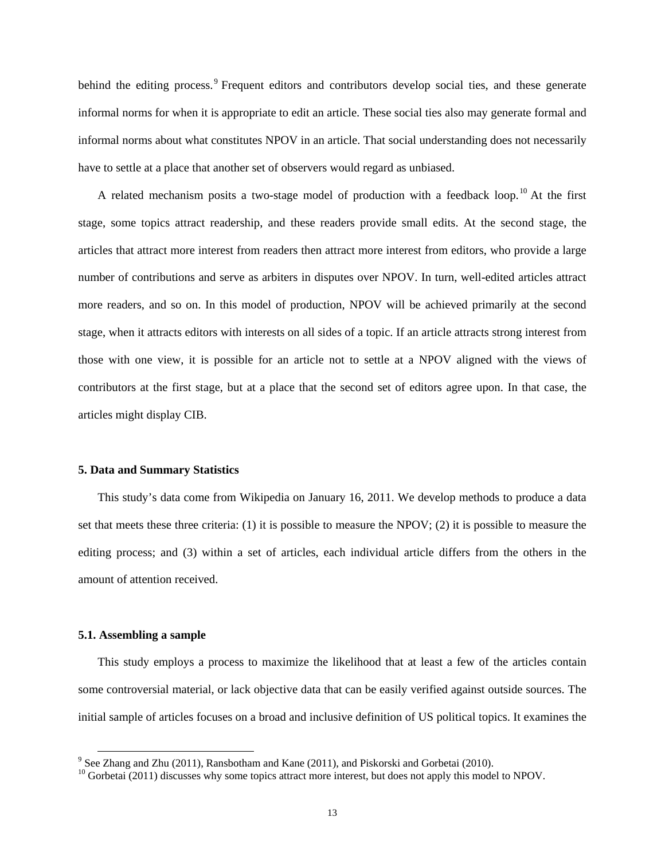behind the editing process.<sup>[9](#page-13-0)</sup> Frequent editors and contributors develop social ties, and these generate informal norms for when it is appropriate to edit an article. These social ties also may generate formal and informal norms about what constitutes NPOV in an article. That social understanding does not necessarily have to settle at a place that another set of observers would regard as unbiased.

A related mechanism posits a two-stage model of production with a feedback loop.<sup>[10](#page-13-1)</sup> At the first stage, some topics attract readership, and these readers provide small edits. At the second stage, the articles that attract more interest from readers then attract more interest from editors, who provide a large number of contributions and serve as arbiters in disputes over NPOV. In turn, well-edited articles attract more readers, and so on. In this model of production, NPOV will be achieved primarily at the second stage, when it attracts editors with interests on all sides of a topic. If an article attracts strong interest from those with one view, it is possible for an article not to settle at a NPOV aligned with the views of contributors at the first stage, but at a place that the second set of editors agree upon. In that case, the articles might display CIB.

#### **5. Data and Summary Statistics**

This study's data come from Wikipedia on January 16, 2011. We develop methods to produce a data set that meets these three criteria: (1) it is possible to measure the NPOV; (2) it is possible to measure the editing process; and (3) within a set of articles, each individual article differs from the others in the amount of attention received.

#### **5.1. Assembling a sample**

This study employs a process to maximize the likelihood that at least a few of the articles contain some controversial material, or lack objective data that can be easily verified against outside sources. The initial sample of articles focuses on a broad and inclusive definition of US political topics. It examines the

<span id="page-13-0"></span> $9^9$  See Zhang and Zhu (2011), Ransbotham and Kane (2011), and Piskorski and Gorbetai (2010).

<span id="page-13-1"></span><sup>&</sup>lt;sup>10</sup> Gorbetai (2011) discusses why some topics attract more interest, but does not apply this model to NPOV.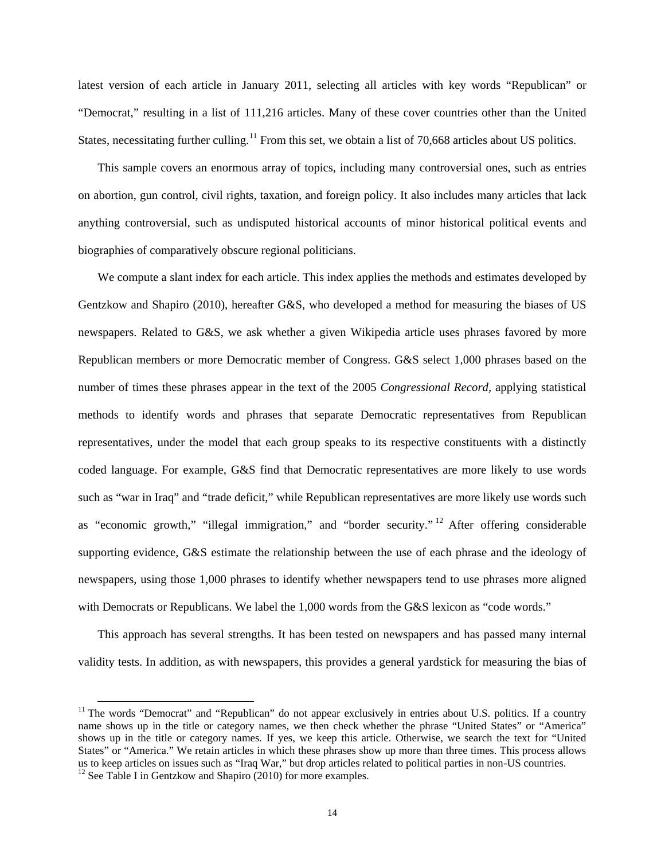latest version of each article in January 2011, selecting all articles with key words "Republican" or "Democrat," resulting in a list of 111,216 articles. Many of these cover countries other than the United States, necessitating further culling.<sup>[11](#page-14-0)</sup> From this set, we obtain a list of 70,668 articles about US politics.

This sample covers an enormous array of topics, including many controversial ones, such as entries on abortion, gun control, civil rights, taxation, and foreign policy. It also includes many articles that lack anything controversial, such as undisputed historical accounts of minor historical political events and biographies of comparatively obscure regional politicians.

We compute a slant index for each article. This index applies the methods and estimates developed by Gentzkow and Shapiro (2010), hereafter G&S, who developed a method for measuring the biases of US newspapers. Related to G&S, we ask whether a given Wikipedia article uses phrases favored by more Republican members or more Democratic member of Congress. G&S select 1,000 phrases based on the number of times these phrases appear in the text of the 2005 *Congressional Record,* applying statistical methods to identify words and phrases that separate Democratic representatives from Republican representatives, under the model that each group speaks to its respective constituents with a distinctly coded language. For example, G&S find that Democratic representatives are more likely to use words such as "war in Iraq" and "trade deficit," while Republican representatives are more likely use words such as "economic growth," "illegal immigration," and "border security." [12](#page-14-1) After offering considerable supporting evidence, G&S estimate the relationship between the use of each phrase and the ideology of newspapers, using those 1,000 phrases to identify whether newspapers tend to use phrases more aligned with Democrats or Republicans. We label the 1,000 words from the G&S lexicon as "code words."

This approach has several strengths. It has been tested on newspapers and has passed many internal validity tests. In addition, as with newspapers, this provides a general yardstick for measuring the bias of

<span id="page-14-1"></span><span id="page-14-0"></span><sup>&</sup>lt;sup>11</sup> The words "Democrat" and "Republican" do not appear exclusively in entries about U.S. politics. If a country name shows up in the title or category names, we then check whether the phrase "United States" or "America" shows up in the title or category names. If yes, we keep this article. Otherwise, we search the text for "United States" or "America." We retain articles in which these phrases show up more than three times. This process allows us to keep articles on issues such as "Iraq War," but drop articles related to political parties in non-US countries.  $^{12}$  See Table I in Gentzkow and Shapiro (2010) for more examples.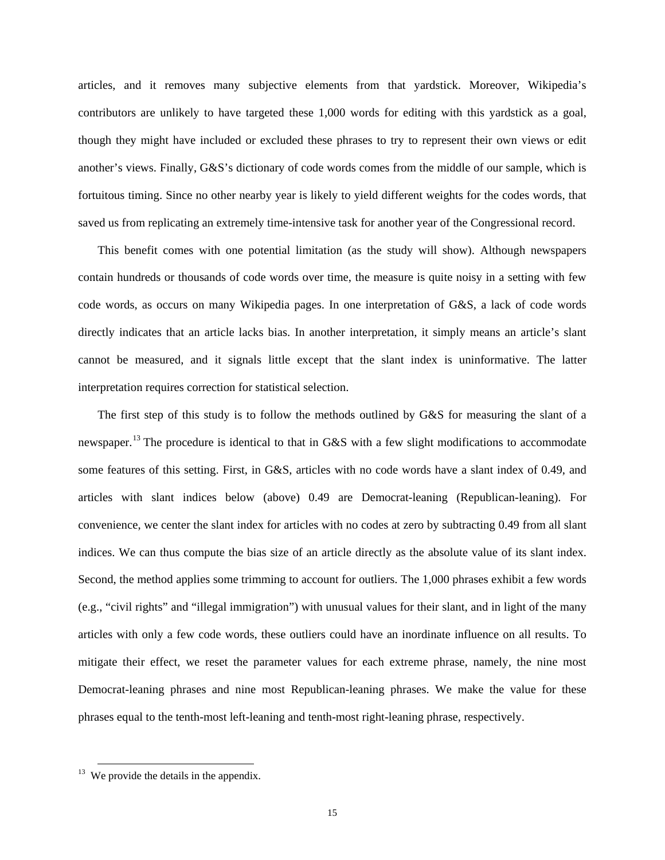articles, and it removes many subjective elements from that yardstick. Moreover, Wikipedia's contributors are unlikely to have targeted these 1,000 words for editing with this yardstick as a goal, though they might have included or excluded these phrases to try to represent their own views or edit another's views. Finally, G&S's dictionary of code words comes from the middle of our sample, which is fortuitous timing. Since no other nearby year is likely to yield different weights for the codes words, that saved us from replicating an extremely time-intensive task for another year of the Congressional record.

This benefit comes with one potential limitation (as the study will show). Although newspapers contain hundreds or thousands of code words over time, the measure is quite noisy in a setting with few code words, as occurs on many Wikipedia pages. In one interpretation of G&S, a lack of code words directly indicates that an article lacks bias. In another interpretation, it simply means an article's slant cannot be measured, and it signals little except that the slant index is uninformative. The latter interpretation requires correction for statistical selection.

The first step of this study is to follow the methods outlined by G&S for measuring the slant of a newspaper.<sup>[13](#page-15-0)</sup> The procedure is identical to that in G&S with a few slight modifications to accommodate some features of this setting. First, in G&S, articles with no code words have a slant index of 0.49, and articles with slant indices below (above) 0.49 are Democrat-leaning (Republican-leaning). For convenience, we center the slant index for articles with no codes at zero by subtracting 0.49 from all slant indices. We can thus compute the bias size of an article directly as the absolute value of its slant index. Second, the method applies some trimming to account for outliers. The 1,000 phrases exhibit a few words (e.g., "civil rights" and "illegal immigration") with unusual values for their slant, and in light of the many articles with only a few code words, these outliers could have an inordinate influence on all results. To mitigate their effect, we reset the parameter values for each extreme phrase, namely, the nine most Democrat-leaning phrases and nine most Republican-leaning phrases. We make the value for these phrases equal to the tenth-most left-leaning and tenth-most right-leaning phrase, respectively.

<span id="page-15-0"></span> $13$  We provide the details in the appendix.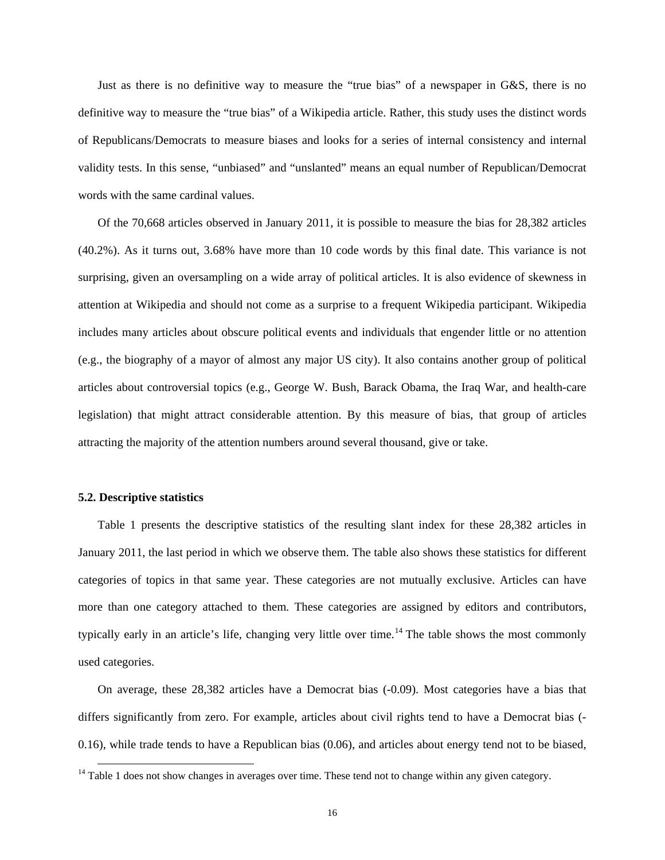Just as there is no definitive way to measure the "true bias" of a newspaper in G&S, there is no definitive way to measure the "true bias" of a Wikipedia article. Rather, this study uses the distinct words of Republicans/Democrats to measure biases and looks for a series of internal consistency and internal validity tests. In this sense, "unbiased" and "unslanted" means an equal number of Republican/Democrat words with the same cardinal values.

Of the 70,668 articles observed in January 2011, it is possible to measure the bias for 28,382 articles (40.2%). As it turns out, 3.68% have more than 10 code words by this final date. This variance is not surprising, given an oversampling on a wide array of political articles. It is also evidence of skewness in attention at Wikipedia and should not come as a surprise to a frequent Wikipedia participant. Wikipedia includes many articles about obscure political events and individuals that engender little or no attention (e.g., the biography of a mayor of almost any major US city). It also contains another group of political articles about controversial topics (e.g., George W. Bush, Barack Obama, the Iraq War, and health-care legislation) that might attract considerable attention. By this measure of bias, that group of articles attracting the majority of the attention numbers around several thousand, give or take.

#### **5.2. Descriptive statistics**

Table 1 presents the descriptive statistics of the resulting slant index for these 28,382 articles in January 2011, the last period in which we observe them. The table also shows these statistics for different categories of topics in that same year. These categories are not mutually exclusive. Articles can have more than one category attached to them. These categories are assigned by editors and contributors, typically early in an article's life, changing very little over time. [14](#page-16-0) The table shows the most commonly used categories.

On average, these 28,382 articles have a Democrat bias (-0.09). Most categories have a bias that differs significantly from zero. For example, articles about civil rights tend to have a Democrat bias (- 0.16), while trade tends to have a Republican bias (0.06), and articles about energy tend not to be biased,

<span id="page-16-0"></span> $14$  Table 1 does not show changes in averages over time. These tend not to change within any given category.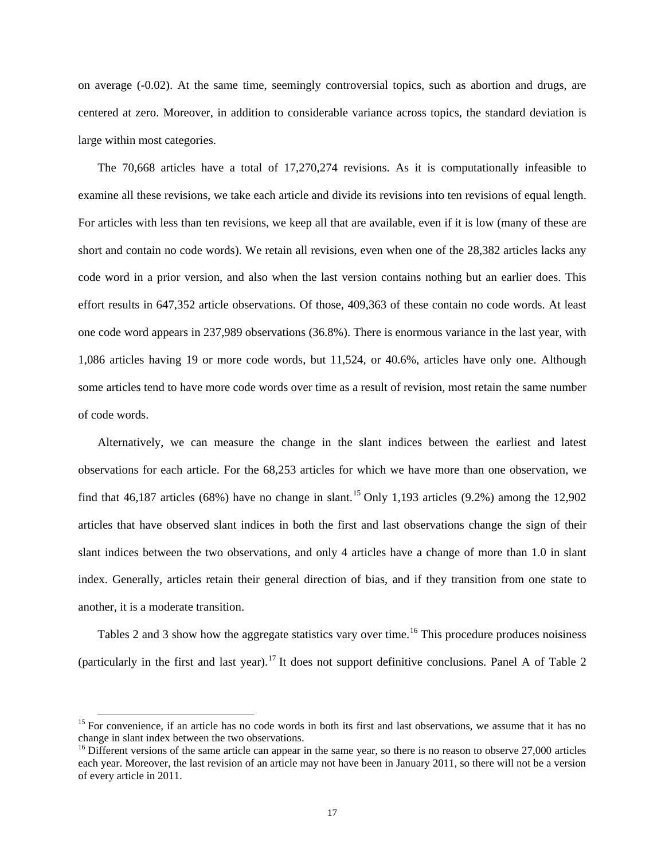on average (-0.02). At the same time, seemingly controversial topics, such as abortion and drugs, are centered at zero. Moreover, in addition to considerable variance across topics, the standard deviation is large within most categories.

The 70,668 articles have a total of 17,270,274 revisions. As it is computationally infeasible to examine all these revisions, we take each article and divide its revisions into ten revisions of equal length. For articles with less than ten revisions, we keep all that are available, even if it is low (many of these are short and contain no code words). We retain all revisions, even when one of the 28,382 articles lacks any code word in a prior version, and also when the last version contains nothing but an earlier does. This effort results in 647,352 article observations. Of those, 409,363 of these contain no code words. At least one code word appears in 237,989 observations (36.8%). There is enormous variance in the last year, with 1,086 articles having 19 or more code words, but 11,524, or 40.6%, articles have only one. Although some articles tend to have more code words over time as a result of revision, most retain the same number of code words.

Alternatively, we can measure the change in the slant indices between the earliest and latest observations for each article. For the 68,253 articles for which we have more than one observation, we find that 46,187 articles (68%) have no change in slant.<sup>[15](#page-17-0)</sup> Only 1,193 articles (9.2%) among the 12,902 articles that have observed slant indices in both the first and last observations change the sign of their slant indices between the two observations, and only 4 articles have a change of more than 1.0 in slant index. Generally, articles retain their general direction of bias, and if they transition from one state to another, it is a moderate transition.

Tables 2 and 3 show how the aggregate statistics vary over time.<sup>[16](#page-17-1)</sup> This procedure produces noisiness (particularly in the first and last year).<sup>[17](#page-17-2)</sup> It does not support definitive conclusions. Panel A of Table 2

<span id="page-17-2"></span><span id="page-17-0"></span> $15$  For convenience, if an article has no code words in both its first and last observations, we assume that it has no change in slant index between the two observations.

<span id="page-17-1"></span> $16$  Different versions of the same article can appear in the same year, so there is no reason to observe 27,000 articles each year. Moreover, the last revision of an article may not have been in January 2011, so there will not be a version of every article in 2011.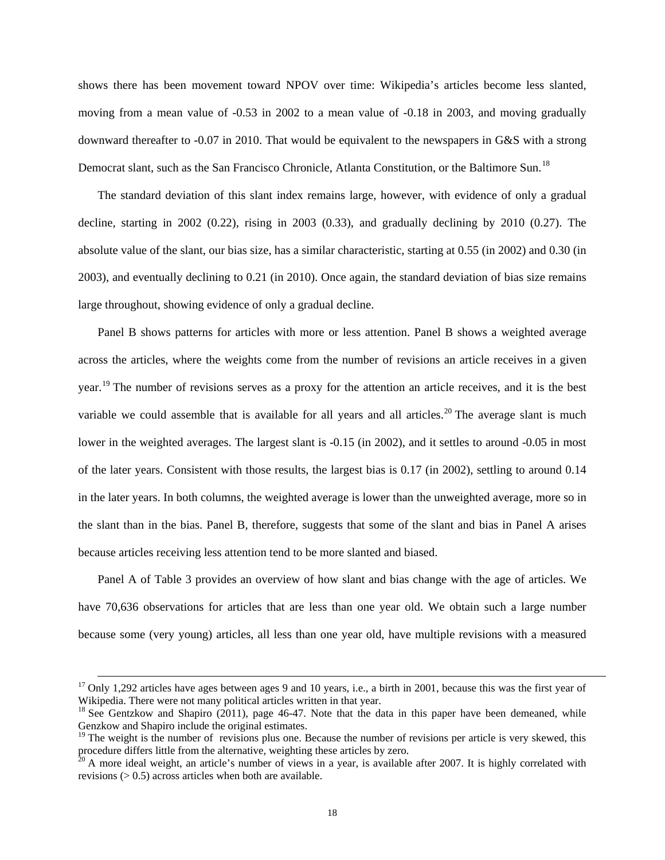shows there has been movement toward NPOV over time: Wikipedia's articles become less slanted, moving from a mean value of -0.53 in 2002 to a mean value of -0.18 in 2003, and moving gradually downward thereafter to -0.07 in 2010. That would be equivalent to the newspapers in G&S with a strong Democrat slant, such as the San Francisco Chronicle, Atlanta Constitution, or the Baltimore Sun.<sup>[18](#page-18-0)</sup>

The standard deviation of this slant index remains large, however, with evidence of only a gradual decline, starting in 2002 (0.22), rising in 2003 (0.33), and gradually declining by 2010 (0.27). The absolute value of the slant, our bias size, has a similar characteristic, starting at 0.55 (in 2002) and 0.30 (in 2003), and eventually declining to 0.21 (in 2010). Once again, the standard deviation of bias size remains large throughout, showing evidence of only a gradual decline.

Panel B shows patterns for articles with more or less attention. Panel B shows a weighted average across the articles, where the weights come from the number of revisions an article receives in a given year.<sup>[19](#page-18-1)</sup> The number of revisions serves as a proxy for the attention an article receives, and it is the best variable we could assemble that is available for all years and all articles.<sup>[20](#page-18-2)</sup> The average slant is much lower in the weighted averages. The largest slant is -0.15 (in 2002), and it settles to around -0.05 in most of the later years. Consistent with those results, the largest bias is 0.17 (in 2002), settling to around 0.14 in the later years. In both columns, the weighted average is lower than the unweighted average, more so in the slant than in the bias. Panel B, therefore, suggests that some of the slant and bias in Panel A arises because articles receiving less attention tend to be more slanted and biased.

Panel A of Table 3 provides an overview of how slant and bias change with the age of articles. We have 70,636 observations for articles that are less than one year old. We obtain such a large number because some (very young) articles, all less than one year old, have multiple revisions with a measured

<sup>&</sup>lt;sup>17</sup> Only 1,292 articles have ages between ages 9 and 10 years, i.e., a birth in 2001, because this was the first year of Wikipedia. There were not many political articles written in that year.

<span id="page-18-0"></span> $18$  See Gentzkow and Shapiro (2011), page 46-47. Note that the data in this paper have been demeaned, while Genzkow and Shapiro include the original estimates.

<span id="page-18-1"></span> $19$  The weight is the number of revisions plus one. Because the number of revisions per article is very skewed, this procedure differs little from the alternative, weighting these articles by zero.

<span id="page-18-2"></span> $^{20}$  A more ideal weight, an article's number of views in a year, is available after 2007. It is highly correlated with revisions  $(0.5)$  across articles when both are available.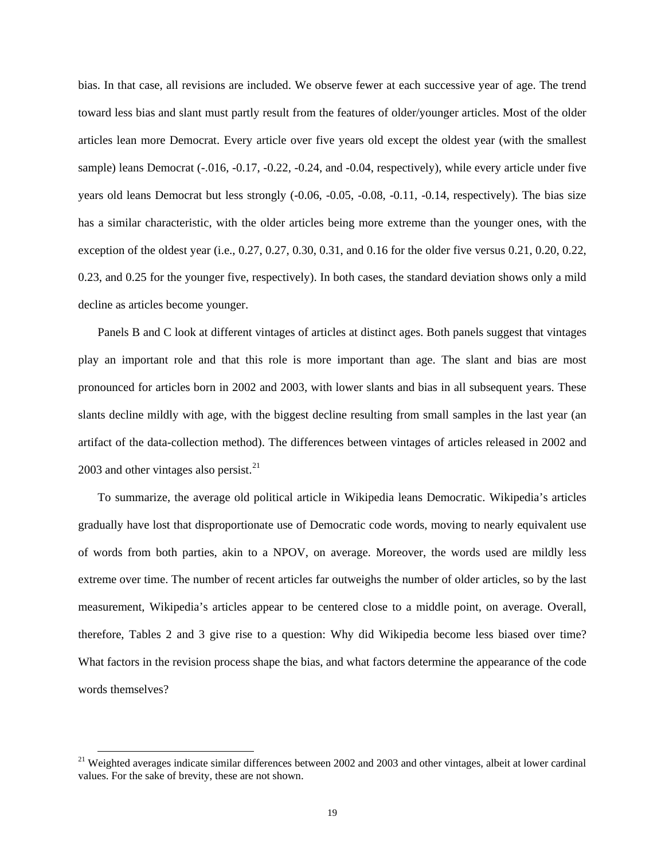bias. In that case, all revisions are included. We observe fewer at each successive year of age. The trend toward less bias and slant must partly result from the features of older/younger articles. Most of the older articles lean more Democrat. Every article over five years old except the oldest year (with the smallest sample) leans Democrat (-.016, -0.17, -0.22, -0.24, and -0.04, respectively), while every article under five years old leans Democrat but less strongly (-0.06, -0.05, -0.08, -0.11, -0.14, respectively). The bias size has a similar characteristic, with the older articles being more extreme than the younger ones, with the exception of the oldest year (i.e., 0.27, 0.27, 0.30, 0.31, and 0.16 for the older five versus 0.21, 0.20, 0.22, 0.23, and 0.25 for the younger five, respectively). In both cases, the standard deviation shows only a mild decline as articles become younger.

Panels B and C look at different vintages of articles at distinct ages. Both panels suggest that vintages play an important role and that this role is more important than age. The slant and bias are most pronounced for articles born in 2002 and 2003, with lower slants and bias in all subsequent years. These slants decline mildly with age, with the biggest decline resulting from small samples in the last year (an artifact of the data-collection method). The differences between vintages of articles released in 2002 and 2003 and other vintages also persist. $^{21}$ 

To summarize, the average old political article in Wikipedia leans Democratic. Wikipedia's articles gradually have lost that disproportionate use of Democratic code words, moving to nearly equivalent use of words from both parties, akin to a NPOV, on average. Moreover, the words used are mildly less extreme over time. The number of recent articles far outweighs the number of older articles, so by the last measurement, Wikipedia's articles appear to be centered close to a middle point, on average. Overall, therefore, Tables 2 and 3 give rise to a question: Why did Wikipedia become less biased over time? What factors in the revision process shape the bias, and what factors determine the appearance of the code words themselves?

<span id="page-19-0"></span> $21$  Weighted averages indicate similar differences between 2002 and 2003 and other vintages, albeit at lower cardinal values. For the sake of brevity, these are not shown.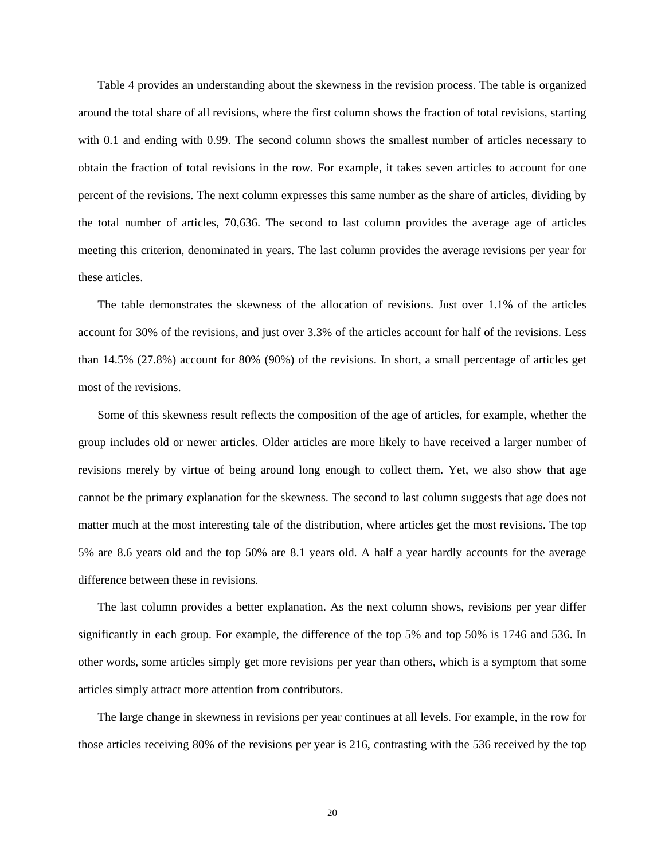Table 4 provides an understanding about the skewness in the revision process. The table is organized around the total share of all revisions, where the first column shows the fraction of total revisions, starting with 0.1 and ending with 0.99. The second column shows the smallest number of articles necessary to obtain the fraction of total revisions in the row. For example, it takes seven articles to account for one percent of the revisions. The next column expresses this same number as the share of articles, dividing by the total number of articles, 70,636. The second to last column provides the average age of articles meeting this criterion, denominated in years. The last column provides the average revisions per year for these articles.

The table demonstrates the skewness of the allocation of revisions. Just over 1.1% of the articles account for 30% of the revisions, and just over 3.3% of the articles account for half of the revisions. Less than 14.5% (27.8%) account for 80% (90%) of the revisions. In short, a small percentage of articles get most of the revisions.

Some of this skewness result reflects the composition of the age of articles, for example, whether the group includes old or newer articles. Older articles are more likely to have received a larger number of revisions merely by virtue of being around long enough to collect them. Yet, we also show that age cannot be the primary explanation for the skewness. The second to last column suggests that age does not matter much at the most interesting tale of the distribution, where articles get the most revisions. The top 5% are 8.6 years old and the top 50% are 8.1 years old. A half a year hardly accounts for the average difference between these in revisions.

The last column provides a better explanation. As the next column shows, revisions per year differ significantly in each group. For example, the difference of the top 5% and top 50% is 1746 and 536. In other words, some articles simply get more revisions per year than others, which is a symptom that some articles simply attract more attention from contributors.

The large change in skewness in revisions per year continues at all levels. For example, in the row for those articles receiving 80% of the revisions per year is 216, contrasting with the 536 received by the top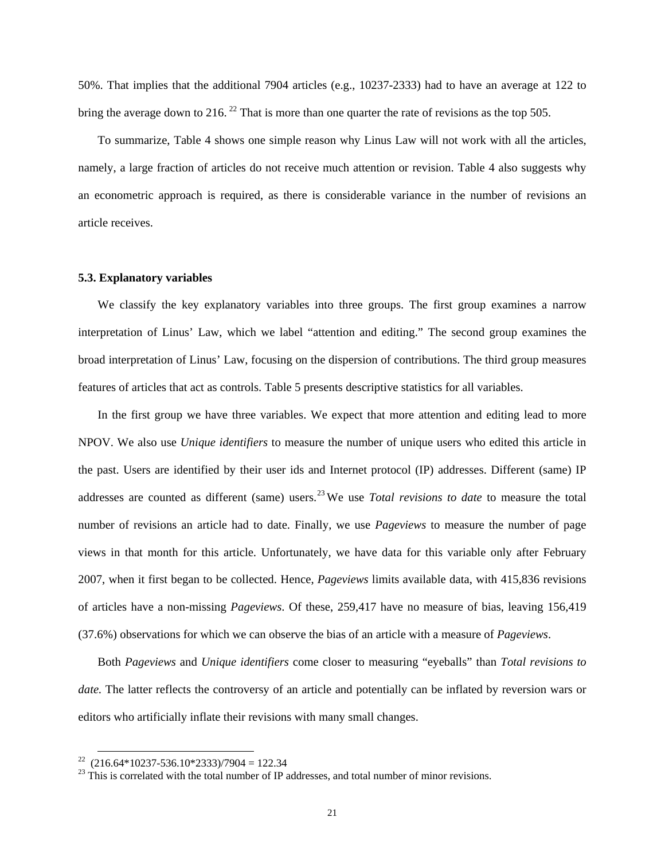50%. That implies that the additional 7904 articles (e.g., 10237-2333) had to have an average at 122 to bring the average down to 216. <sup>[22](#page-21-0)</sup> That is more than one quarter the rate of revisions as the top 505.

To summarize, Table 4 shows one simple reason why Linus Law will not work with all the articles, namely, a large fraction of articles do not receive much attention or revision. Table 4 also suggests why an econometric approach is required, as there is considerable variance in the number of revisions an article receives.

#### **5.3. Explanatory variables**

We classify the key explanatory variables into three groups. The first group examines a narrow interpretation of Linus' Law, which we label "attention and editing." The second group examines the broad interpretation of Linus' Law, focusing on the dispersion of contributions. The third group measures features of articles that act as controls. Table 5 presents descriptive statistics for all variables.

In the first group we have three variables. We expect that more attention and editing lead to more NPOV. We also use *Unique identifiers* to measure the number of unique users who edited this article in the past. Users are identified by their user ids and Internet protocol (IP) addresses. Different (same) IP addresses are counted as different (same) users.<sup>[23](#page-21-1)</sup> We use *Total revisions to date* to measure the total number of revisions an article had to date. Finally, we use *Pageviews* to measure the number of page views in that month for this article. Unfortunately, we have data for this variable only after February 2007, when it first began to be collected. Hence, *Pageviews* limits available data, with 415,836 revisions of articles have a non-missing *Pageviews*. Of these, 259,417 have no measure of bias, leaving 156,419 (37.6%) observations for which we can observe the bias of an article with a measure of *Pageviews*.

Both *Pageviews* and *Unique identifiers* come closer to measuring "eyeballs" than *Total revisions to date.* The latter reflects the controversy of an article and potentially can be inflated by reversion wars or editors who artificially inflate their revisions with many small changes.

<span id="page-21-1"></span><span id="page-21-0"></span><sup>&</sup>lt;sup>22</sup> (216.64\*10237-536.10\*2333)/7904 = 122.34<br><sup>23</sup> This is correlated with the total number of IP addresses, and total number of minor revisions.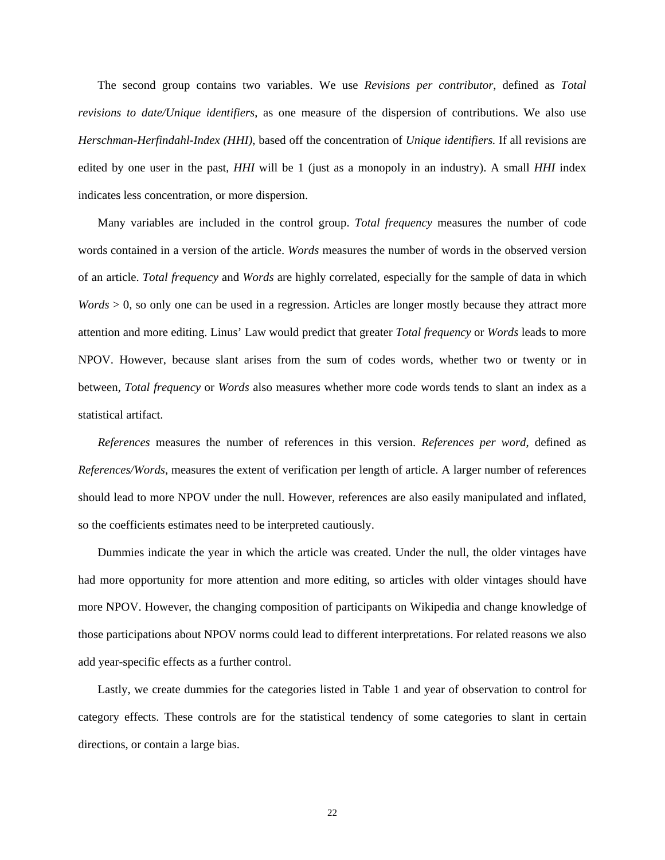The second group contains two variables. We use *Revisions per contributor*, defined as *Total revisions to date/Unique identifiers*, as one measure of the dispersion of contributions. We also use *Herschman-Herfindahl-Index (HHI)*, based off the concentration of *Unique identifiers.* If all revisions are edited by one user in the past, *HHI* will be 1 (just as a monopoly in an industry). A small *HHI* index indicates less concentration, or more dispersion.

Many variables are included in the control group. *Total frequency* measures the number of code words contained in a version of the article. *Words* measures the number of words in the observed version of an article. *Total frequency* and *Words* are highly correlated, especially for the sample of data in which *Words* > 0, so only one can be used in a regression. Articles are longer mostly because they attract more attention and more editing. Linus' Law would predict that greater *Total frequency* or *Words* leads to more NPOV. However, because slant arises from the sum of codes words, whether two or twenty or in between, *Total frequency* or *Words* also measures whether more code words tends to slant an index as a statistical artifact.

*References* measures the number of references in this version. *References per word*, defined as *References/Words*, measures the extent of verification per length of article. A larger number of references should lead to more NPOV under the null. However, references are also easily manipulated and inflated, so the coefficients estimates need to be interpreted cautiously.

Dummies indicate the year in which the article was created. Under the null, the older vintages have had more opportunity for more attention and more editing, so articles with older vintages should have more NPOV. However, the changing composition of participants on Wikipedia and change knowledge of those participations about NPOV norms could lead to different interpretations. For related reasons we also add year-specific effects as a further control.

Lastly, we create dummies for the categories listed in Table 1 and year of observation to control for category effects. These controls are for the statistical tendency of some categories to slant in certain directions, or contain a large bias.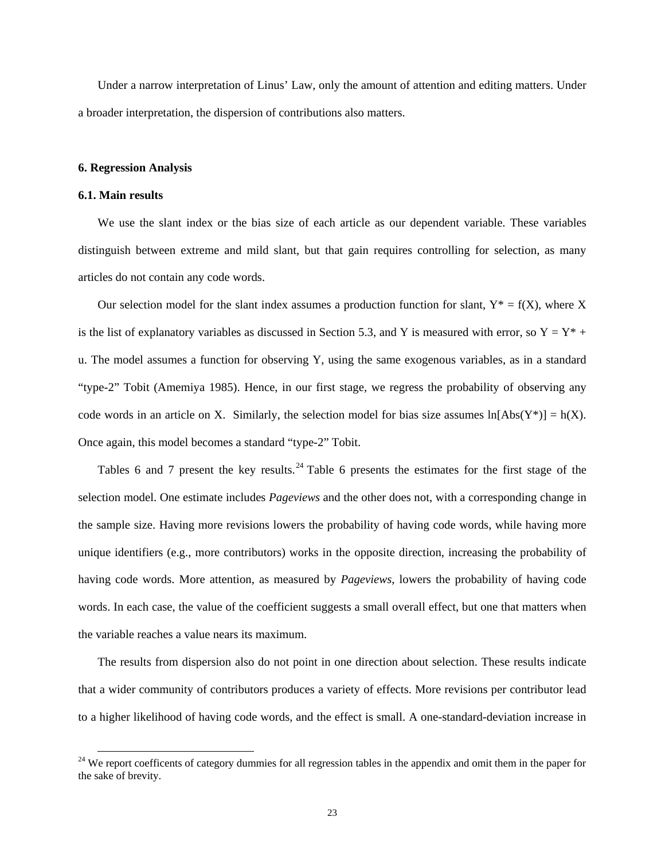Under a narrow interpretation of Linus' Law, only the amount of attention and editing matters. Under a broader interpretation, the dispersion of contributions also matters.

#### **6. Regression Analysis**

#### **6.1. Main results**

We use the slant index or the bias size of each article as our dependent variable. These variables distinguish between extreme and mild slant, but that gain requires controlling for selection, as many articles do not contain any code words.

Our selection model for the slant index assumes a production function for slant,  $Y^* = f(X)$ , where X is the list of explanatory variables as discussed in Section 5.3, and Y is measured with error, so  $Y = Y^* +$ u. The model assumes a function for observing Y, using the same exogenous variables, as in a standard "type-2" Tobit (Amemiya 1985). Hence, in our first stage, we regress the probability of observing any code words in an article on X. Similarly, the selection model for bias size assumes  $\ln[\text{Abs}(Y^*)] = h(X)$ . Once again, this model becomes a standard "type-2" Tobit.

Tables 6 and 7 present the key results.<sup>[24](#page-23-0)</sup> Table 6 presents the estimates for the first stage of the selection model. One estimate includes *Pageviews* and the other does not, with a corresponding change in the sample size. Having more revisions lowers the probability of having code words, while having more unique identifiers (e.g., more contributors) works in the opposite direction, increasing the probability of having code words. More attention, as measured by *Pageviews*, lowers the probability of having code words. In each case, the value of the coefficient suggests a small overall effect, but one that matters when the variable reaches a value nears its maximum.

The results from dispersion also do not point in one direction about selection. These results indicate that a wider community of contributors produces a variety of effects. More revisions per contributor lead to a higher likelihood of having code words, and the effect is small. A one-standard-deviation increase in

<span id="page-23-0"></span><sup>&</sup>lt;sup>24</sup> We report coefficents of category dummies for all regression tables in the appendix and omit them in the paper for the sake of brevity.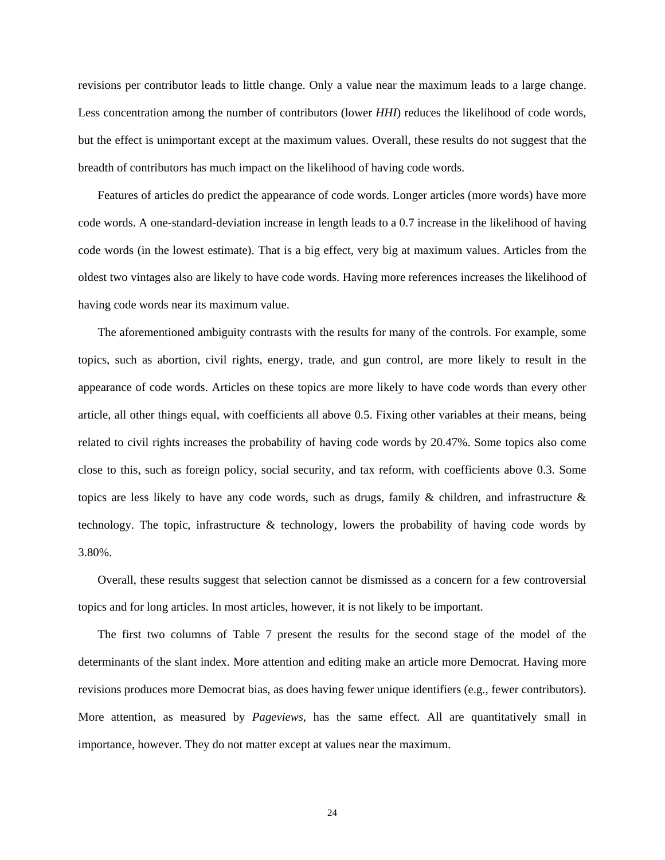revisions per contributor leads to little change. Only a value near the maximum leads to a large change. Less concentration among the number of contributors (lower *HHI*) reduces the likelihood of code words, but the effect is unimportant except at the maximum values. Overall, these results do not suggest that the breadth of contributors has much impact on the likelihood of having code words.

Features of articles do predict the appearance of code words. Longer articles (more words) have more code words. A one-standard-deviation increase in length leads to a 0.7 increase in the likelihood of having code words (in the lowest estimate). That is a big effect, very big at maximum values. Articles from the oldest two vintages also are likely to have code words. Having more references increases the likelihood of having code words near its maximum value.

The aforementioned ambiguity contrasts with the results for many of the controls. For example, some topics, such as abortion, civil rights, energy, trade, and gun control, are more likely to result in the appearance of code words. Articles on these topics are more likely to have code words than every other article, all other things equal, with coefficients all above 0.5. Fixing other variables at their means, being related to civil rights increases the probability of having code words by 20.47%. Some topics also come close to this, such as foreign policy, social security, and tax reform, with coefficients above 0.3. Some topics are less likely to have any code words, such as drugs, family  $\&$  children, and infrastructure  $\&$ technology. The topic, infrastructure & technology, lowers the probability of having code words by 3.80%.

Overall, these results suggest that selection cannot be dismissed as a concern for a few controversial topics and for long articles. In most articles, however, it is not likely to be important.

The first two columns of Table 7 present the results for the second stage of the model of the determinants of the slant index. More attention and editing make an article more Democrat. Having more revisions produces more Democrat bias, as does having fewer unique identifiers (e.g., fewer contributors). More attention, as measured by *Pageviews*, has the same effect. All are quantitatively small in importance, however. They do not matter except at values near the maximum.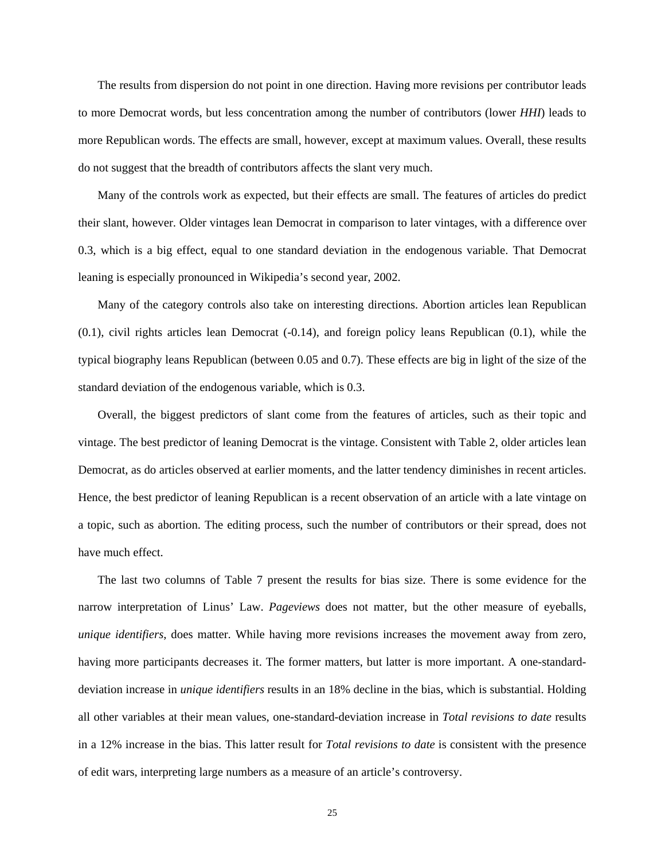The results from dispersion do not point in one direction. Having more revisions per contributor leads to more Democrat words, but less concentration among the number of contributors (lower *HHI*) leads to more Republican words. The effects are small, however, except at maximum values. Overall, these results do not suggest that the breadth of contributors affects the slant very much.

Many of the controls work as expected, but their effects are small. The features of articles do predict their slant, however. Older vintages lean Democrat in comparison to later vintages, with a difference over 0.3, which is a big effect, equal to one standard deviation in the endogenous variable. That Democrat leaning is especially pronounced in Wikipedia's second year, 2002.

Many of the category controls also take on interesting directions. Abortion articles lean Republican (0.1), civil rights articles lean Democrat (-0.14), and foreign policy leans Republican (0.1), while the typical biography leans Republican (between 0.05 and 0.7). These effects are big in light of the size of the standard deviation of the endogenous variable, which is 0.3.

Overall, the biggest predictors of slant come from the features of articles, such as their topic and vintage. The best predictor of leaning Democrat is the vintage. Consistent with Table 2, older articles lean Democrat, as do articles observed at earlier moments, and the latter tendency diminishes in recent articles. Hence, the best predictor of leaning Republican is a recent observation of an article with a late vintage on a topic, such as abortion. The editing process, such the number of contributors or their spread, does not have much effect.

The last two columns of Table 7 present the results for bias size. There is some evidence for the narrow interpretation of Linus' Law. *Pageviews* does not matter, but the other measure of eyeballs, *unique identifiers*, does matter. While having more revisions increases the movement away from zero, having more participants decreases it. The former matters, but latter is more important. A one-standarddeviation increase in *unique identifiers* results in an 18% decline in the bias, which is substantial. Holding all other variables at their mean values, one-standard-deviation increase in *Total revisions to date* results in a 12% increase in the bias. This latter result for *Total revisions to date* is consistent with the presence of edit wars, interpreting large numbers as a measure of an article's controversy.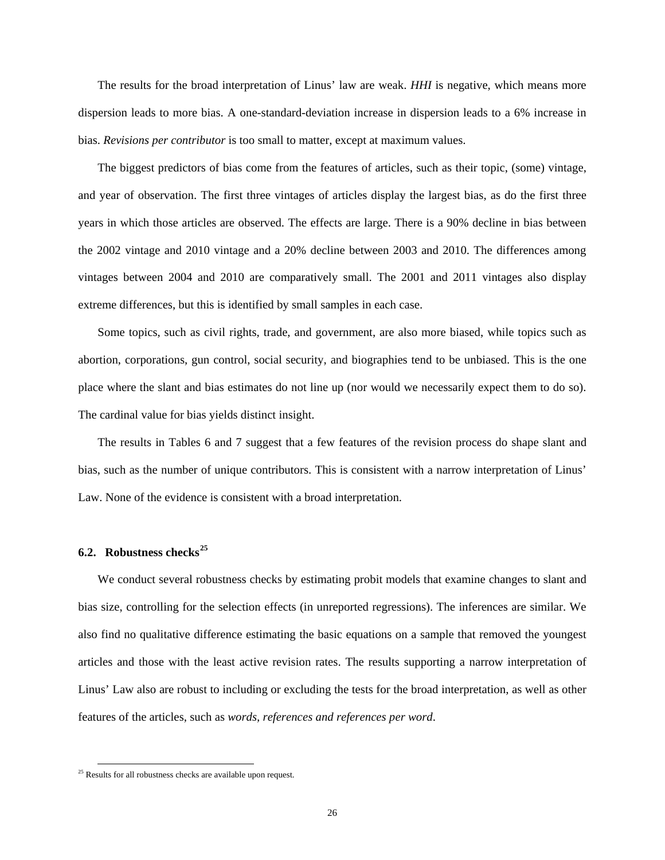The results for the broad interpretation of Linus' law are weak. *HHI* is negative, which means more dispersion leads to more bias. A one-standard-deviation increase in dispersion leads to a 6% increase in bias. *Revisions per contributor* is too small to matter, except at maximum values.

The biggest predictors of bias come from the features of articles, such as their topic, (some) vintage, and year of observation. The first three vintages of articles display the largest bias, as do the first three years in which those articles are observed. The effects are large. There is a 90% decline in bias between the 2002 vintage and 2010 vintage and a 20% decline between 2003 and 2010. The differences among vintages between 2004 and 2010 are comparatively small. The 2001 and 2011 vintages also display extreme differences, but this is identified by small samples in each case.

Some topics, such as civil rights, trade, and government, are also more biased, while topics such as abortion, corporations, gun control, social security, and biographies tend to be unbiased. This is the one place where the slant and bias estimates do not line up (nor would we necessarily expect them to do so). The cardinal value for bias yields distinct insight.

The results in Tables 6 and 7 suggest that a few features of the revision process do shape slant and bias, such as the number of unique contributors. This is consistent with a narrow interpretation of Linus' Law. None of the evidence is consistent with a broad interpretation.

#### **6.2. Robustness checks[25](#page-26-0)**

We conduct several robustness checks by estimating probit models that examine changes to slant and bias size, controlling for the selection effects (in unreported regressions). The inferences are similar. We also find no qualitative difference estimating the basic equations on a sample that removed the youngest articles and those with the least active revision rates. The results supporting a narrow interpretation of Linus' Law also are robust to including or excluding the tests for the broad interpretation, as well as other features of the articles, such as *words, references and references per word*.

<span id="page-26-0"></span><sup>&</sup>lt;sup>25</sup> Results for all robustness checks are available upon request.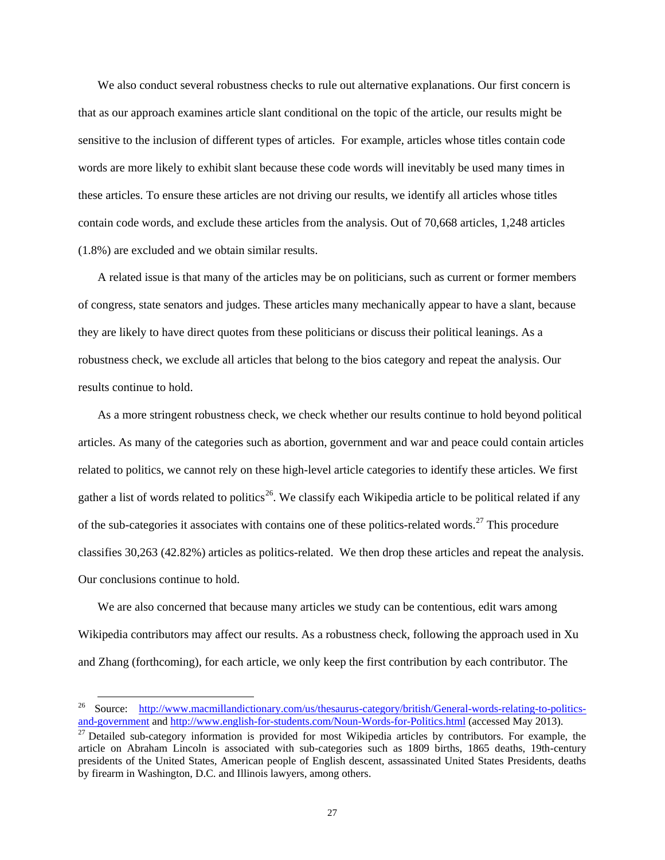We also conduct several robustness checks to rule out alternative explanations. Our first concern is that as our approach examines article slant conditional on the topic of the article, our results might be sensitive to the inclusion of different types of articles. For example, articles whose titles contain code words are more likely to exhibit slant because these code words will inevitably be used many times in these articles. To ensure these articles are not driving our results, we identify all articles whose titles contain code words, and exclude these articles from the analysis. Out of 70,668 articles, 1,248 articles (1.8%) are excluded and we obtain similar results.

A related issue is that many of the articles may be on politicians, such as current or former members of congress, state senators and judges. These articles many mechanically appear to have a slant, because they are likely to have direct quotes from these politicians or discuss their political leanings. As a robustness check, we exclude all articles that belong to the bios category and repeat the analysis. Our results continue to hold.

As a more stringent robustness check, we check whether our results continue to hold beyond political articles. As many of the categories such as abortion, government and war and peace could contain articles related to politics, we cannot rely on these high-level article categories to identify these articles. We first gather a list of words related to politics<sup>26</sup>. We classify each Wikipedia article to be political related if any of the sub-categories it associates with contains one of these politics-related words.<sup>[27](#page-27-1)</sup> This procedure classifies 30,263 (42.82%) articles as politics-related. We then drop these articles and repeat the analysis. Our conclusions continue to hold.

We are also concerned that because many articles we study can be contentious, edit wars among Wikipedia contributors may affect our results. As a robustness check, following the approach used in Xu and Zhang (forthcoming), for each article, we only keep the first contribution by each contributor. The

<span id="page-27-0"></span> <sup>26</sup> Source: [http://www.macmillandictionary.com/us/thesaurus-category/british/General-words-relating-to-politics](http://www.macmillandictionary.com/us/thesaurus-category/british/General-words-relating-to-politics-and-government)[and-government](http://www.macmillandictionary.com/us/thesaurus-category/british/General-words-relating-to-politics-and-government) and<http://www.english-for-students.com/Noun-Words-for-Politics.html> (accessed May 2013).

<span id="page-27-1"></span><sup>&</sup>lt;sup>27</sup> Detailed sub-category information is provided for most Wikipedia articles by contributors. For example, the article on Abraham Lincoln is associated with sub-categories such as 1809 births, 1865 deaths, 19th-century presidents of the United States, American people of English descent, assassinated United States Presidents, deaths by firearm in Washington, D.C. and Illinois lawyers, among others.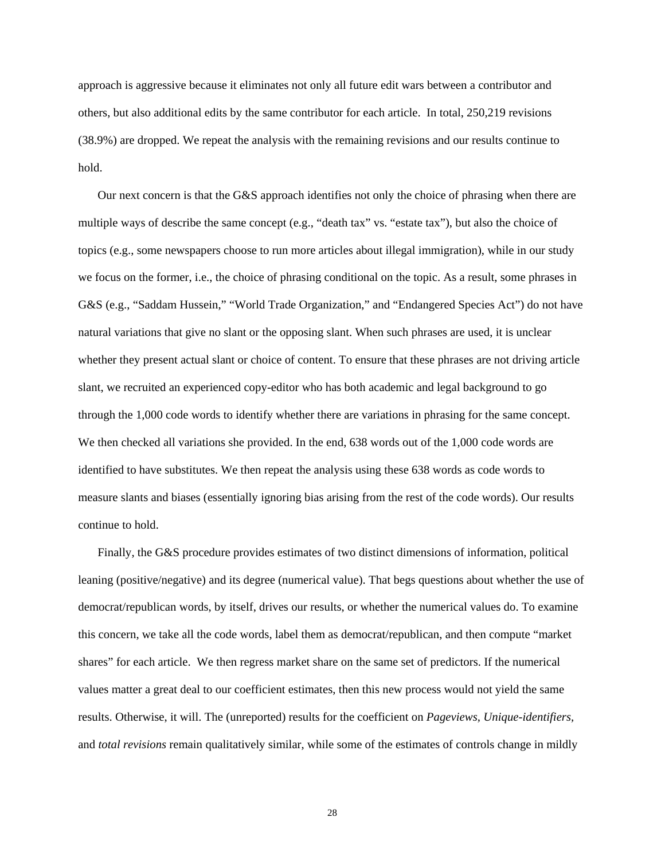approach is aggressive because it eliminates not only all future edit wars between a contributor and others, but also additional edits by the same contributor for each article. In total, 250,219 revisions (38.9%) are dropped. We repeat the analysis with the remaining revisions and our results continue to hold.

Our next concern is that the G&S approach identifies not only the choice of phrasing when there are multiple ways of describe the same concept (e.g., "death tax" vs. "estate tax"), but also the choice of topics (e.g., some newspapers choose to run more articles about illegal immigration), while in our study we focus on the former, i.e., the choice of phrasing conditional on the topic. As a result, some phrases in G&S (e.g., "Saddam Hussein," "World Trade Organization," and "Endangered Species Act") do not have natural variations that give no slant or the opposing slant. When such phrases are used, it is unclear whether they present actual slant or choice of content. To ensure that these phrases are not driving article slant, we recruited an experienced copy-editor who has both academic and legal background to go through the 1,000 code words to identify whether there are variations in phrasing for the same concept. We then checked all variations she provided. In the end, 638 words out of the 1,000 code words are identified to have substitutes. We then repeat the analysis using these 638 words as code words to measure slants and biases (essentially ignoring bias arising from the rest of the code words). Our results continue to hold.

Finally, the G&S procedure provides estimates of two distinct dimensions of information, political leaning (positive/negative) and its degree (numerical value). That begs questions about whether the use of democrat/republican words, by itself, drives our results, or whether the numerical values do. To examine this concern, we take all the code words, label them as democrat/republican, and then compute "market shares" for each article. We then regress market share on the same set of predictors. If the numerical values matter a great deal to our coefficient estimates, then this new process would not yield the same results. Otherwise, it will. The (unreported) results for the coefficient on *Pageviews, Unique-identifiers,*  and *total revisions* remain qualitatively similar, while some of the estimates of controls change in mildly

28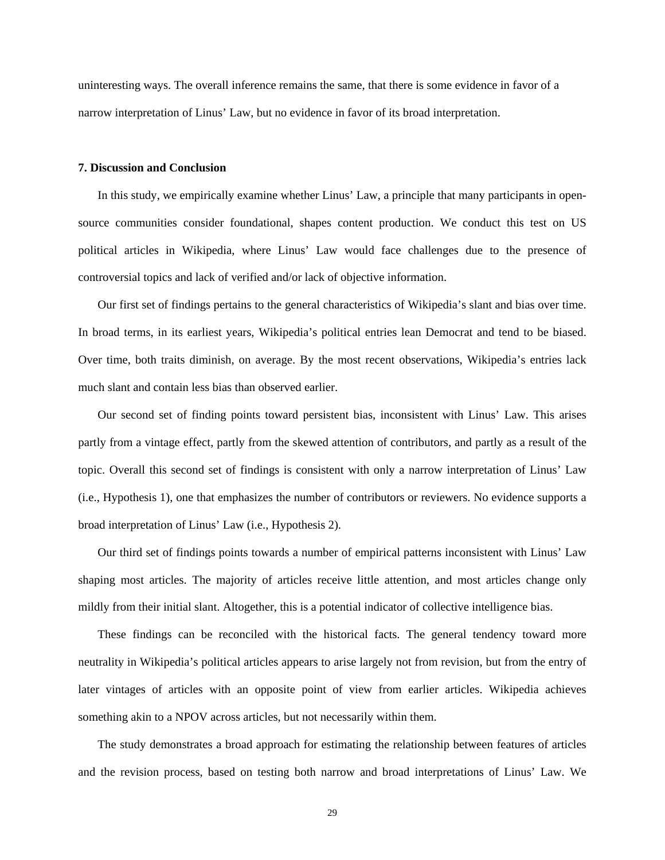uninteresting ways. The overall inference remains the same, that there is some evidence in favor of a narrow interpretation of Linus' Law, but no evidence in favor of its broad interpretation.

#### **7. Discussion and Conclusion**

In this study, we empirically examine whether Linus' Law, a principle that many participants in opensource communities consider foundational, shapes content production. We conduct this test on US political articles in Wikipedia, where Linus' Law would face challenges due to the presence of controversial topics and lack of verified and/or lack of objective information.

Our first set of findings pertains to the general characteristics of Wikipedia's slant and bias over time. In broad terms, in its earliest years, Wikipedia's political entries lean Democrat and tend to be biased. Over time, both traits diminish, on average. By the most recent observations, Wikipedia's entries lack much slant and contain less bias than observed earlier.

Our second set of finding points toward persistent bias, inconsistent with Linus' Law. This arises partly from a vintage effect, partly from the skewed attention of contributors, and partly as a result of the topic. Overall this second set of findings is consistent with only a narrow interpretation of Linus' Law (i.e., Hypothesis 1), one that emphasizes the number of contributors or reviewers. No evidence supports a broad interpretation of Linus' Law (i.e., Hypothesis 2).

Our third set of findings points towards a number of empirical patterns inconsistent with Linus' Law shaping most articles. The majority of articles receive little attention, and most articles change only mildly from their initial slant. Altogether, this is a potential indicator of collective intelligence bias.

These findings can be reconciled with the historical facts. The general tendency toward more neutrality in Wikipedia's political articles appears to arise largely not from revision, but from the entry of later vintages of articles with an opposite point of view from earlier articles. Wikipedia achieves something akin to a NPOV across articles, but not necessarily within them.

The study demonstrates a broad approach for estimating the relationship between features of articles and the revision process, based on testing both narrow and broad interpretations of Linus' Law. We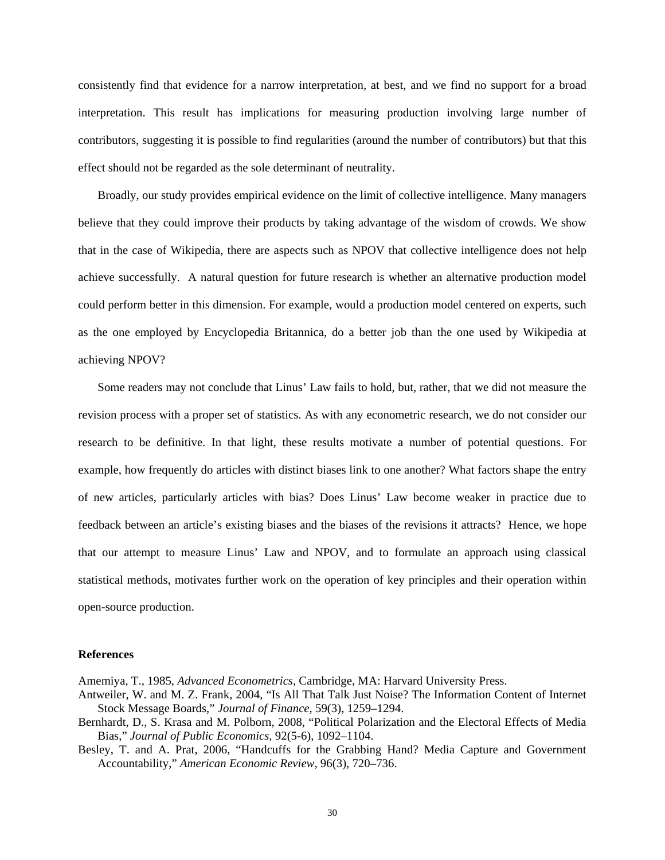consistently find that evidence for a narrow interpretation, at best, and we find no support for a broad interpretation. This result has implications for measuring production involving large number of contributors, suggesting it is possible to find regularities (around the number of contributors) but that this effect should not be regarded as the sole determinant of neutrality.

Broadly, our study provides empirical evidence on the limit of collective intelligence. Many managers believe that they could improve their products by taking advantage of the wisdom of crowds. We show that in the case of Wikipedia, there are aspects such as NPOV that collective intelligence does not help achieve successfully. A natural question for future research is whether an alternative production model could perform better in this dimension. For example, would a production model centered on experts, such as the one employed by Encyclopedia Britannica, do a better job than the one used by Wikipedia at achieving NPOV?

Some readers may not conclude that Linus' Law fails to hold, but, rather, that we did not measure the revision process with a proper set of statistics. As with any econometric research, we do not consider our research to be definitive. In that light, these results motivate a number of potential questions. For example, how frequently do articles with distinct biases link to one another? What factors shape the entry of new articles, particularly articles with bias? Does Linus' Law become weaker in practice due to feedback between an article's existing biases and the biases of the revisions it attracts? Hence, we hope that our attempt to measure Linus' Law and NPOV, and to formulate an approach using classical statistical methods, motivates further work on the operation of key principles and their operation within open-source production.

#### **References**

Amemiya, T., 1985, *Advanced Econometrics*, Cambridge, MA: Harvard University Press.

- Antweiler, W. and M. Z. Frank, 2004, "Is All That Talk Just Noise? The Information Content of Internet Stock Message Boards," *Journal of Finance,* 59(3), 1259–1294.
- Bernhardt, D., S. Krasa and M. Polborn, 2008, "Political Polarization and the Electoral Effects of Media Bias," *Journal of Public Economics,* 92(5-6), 1092–1104.
- Besley, T. and A. Prat, 2006, "Handcuffs for the Grabbing Hand? Media Capture and Government Accountability," *American Economic Review,* 96(3), 720–736.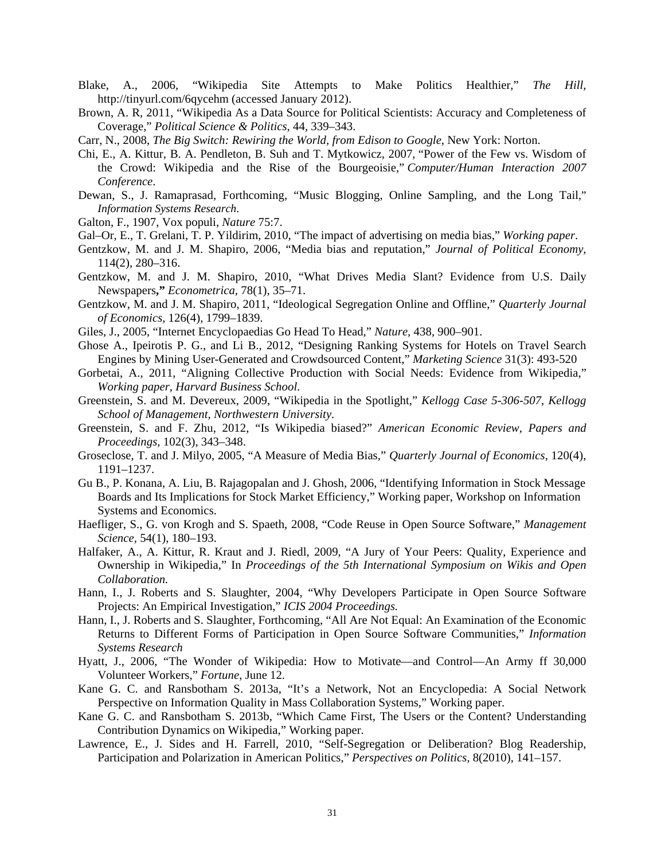- Blake, A., 2006, "Wikipedia Site Attempts to Make Politics Healthier," *The Hill*, http://tinyurl.com/6qycehm (accessed January 2012).
- Brown, A. R, 2011, "Wikipedia As a Data Source for Political Scientists: Accuracy and Completeness of Coverage," *Political Science & Politics*, 44, 339–343.

Carr, N., 2008, *The Big Switch: Rewiring the World, from Edison to Google*, New York: Norton.

- Chi, E., A. Kittur, B. A. Pendleton, B. Suh and T. Mytkowicz, 2007, "Power of the Few vs. Wisdom of the Crowd: Wikipedia and the Rise of the Bourgeoisie," *Computer/Human Interaction 2007 Conference*.
- Dewan, S., J. Ramaprasad, Forthcoming, "Music Blogging, Online Sampling, and the Long Tail," *Information Systems Research*.
- Galton, F., 1907, Vox populi, *Nature* 75:7.
- Gal–Or, E., T. Grelani, T. P. Yildirim, 2010, "The impact of advertising on media bias," *Working paper*.
- Gentzkow, M. and J. M. Shapiro, 2006, "Media bias and reputation," *Journal of Political Economy,* 114(2), 280–316.
- Gentzkow, M. and J. M. Shapiro, 2010, "What Drives Media Slant? Evidence from U.S. Daily Newspapers**,"** *Econometrica,* 78(1), 35–71.
- Gentzkow, M. and J. M. Shapiro, 2011, "Ideological Segregation Online and Offline," *Quarterly Journal of Economics,* 126(4), 1799–1839.
- Giles, J., 2005, "Internet Encyclopaedias Go Head To Head," *Nature,* 438, 900–901.
- Ghose A., Ipeirotis P. G., and Li B., 2012, "Designing Ranking Systems for Hotels on Travel Search Engines by Mining User-Generated and Crowdsourced Content," *Marketing Science* 31(3): 493-520
- Gorbetai, A., 2011, "Aligning Collective Production with Social Needs: Evidence from Wikipedia," *Working paper, Harvard Business School*.
- Greenstein, S. and M. Devereux, 2009, "Wikipedia in the Spotlight," *Kellogg Case 5-306-507*, *Kellogg School of Management, Northwestern University*.
- Greenstein, S. and F. Zhu, 2012, "Is Wikipedia biased?" *American Economic Review, Papers and Proceedings,* 102(3), 343–348.
- Groseclose, T. and J. Milyo, 2005, "A Measure of Media Bias," *Quarterly Journal of Economics,* 120(4), 1191–1237.
- Gu B., P. Konana, A. Liu, B. Rajagopalan and J. Ghosh, 2006, "Identifying Information in Stock Message Boards and Its Implications for Stock Market Efficiency," Working paper, Workshop on Information Systems and Economics.
- Haefliger, S., G. von Krogh and S. Spaeth, 2008, "Code Reuse in Open Source Software," *Management Science,* 54(1), 180–193.
- Halfaker, A., A. Kittur, R. Kraut and J. Riedl, 2009, "A Jury of Your Peers: Quality, Experience and Ownership in Wikipedia," In *Proceedings of the 5th International Symposium on Wikis and Open Collaboration.*
- Hann, I., J. Roberts and S. Slaughter, 2004, "Why Developers Participate in Open Source Software Projects: An Empirical Investigation," *ICIS 2004 Proceedings.*
- Hann, I., J. Roberts and S. Slaughter, Forthcoming, "All Are Not Equal: An Examination of the Economic Returns to Different Forms of Participation in Open Source Software Communities," *Information Systems Research*
- Hyatt, J., 2006, "The Wonder of Wikipedia: How to Motivate—and Control—An Army ff 30,000 Volunteer Workers," *Fortune*, June 12.
- Kane G. C. and Ransbotham S. 2013a, "It's a Network, Not an Encyclopedia: A Social Network Perspective on Information Quality in Mass Collaboration Systems," Working paper.
- Kane G. C. and Ransbotham S. 2013b, "Which Came First, The Users or the Content? Understanding Contribution Dynamics on Wikipedia," Working paper.
- Lawrence, E., J. Sides and H. Farrell, 2010, "Self-Segregation or Deliberation? Blog Readership, Participation and Polarization in American Politics," *Perspectives on Politics,* 8(2010), 141–157.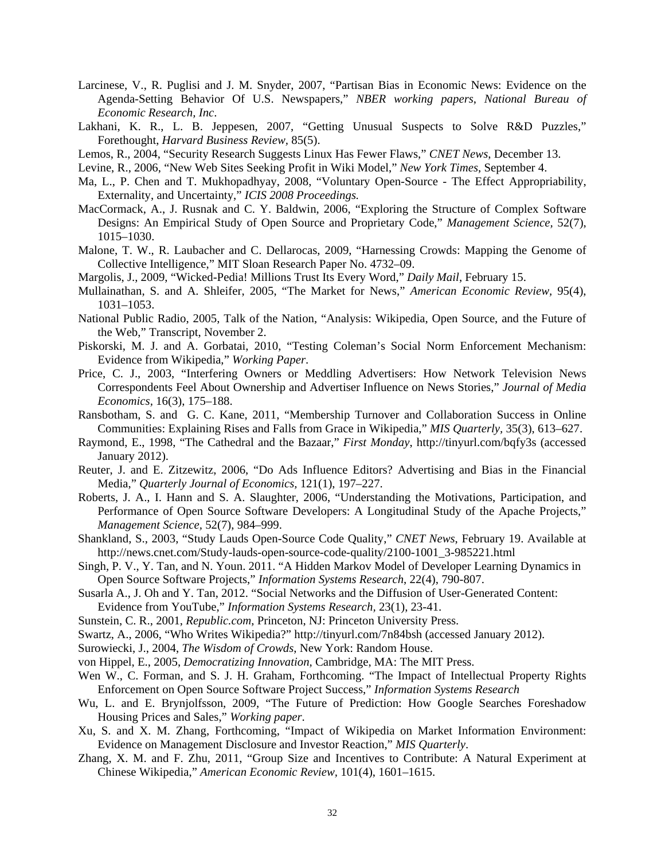- Larcinese, V., R. Puglisi and J. M. Snyder, 2007, "Partisan Bias in Economic News: Evidence on the Agenda-Setting Behavior Of U.S. Newspapers," *NBER working papers*, *National Bureau of Economic Research, Inc*.
- Lakhani, K. R., L. B. Jeppesen, 2007, "Getting Unusual Suspects to Solve R&D Puzzles," Forethought, *Harvard Business Review,* 85(5).
- Lemos, R., 2004, "Security Research Suggests Linux Has Fewer Flaws," *CNET News*, December 13.
- Levine, R., 2006, "New Web Sites Seeking Profit in Wiki Model," *New York Times*, September 4.
- Ma, L., P. Chen and T. Mukhopadhyay, 2008, "Voluntary Open-Source The Effect Appropriability, Externality, and Uncertainty," *ICIS 2008 Proceedings.*
- MacCormack, A., J. Rusnak and C. Y. Baldwin, 2006, "Exploring the Structure of Complex Software Designs: An Empirical Study of Open Source and Proprietary Code," *Management Science,* 52(7), 1015–1030.
- Malone, T. W., R. Laubacher and C. Dellarocas, 2009, "Harnessing Crowds: Mapping the Genome of Collective Intelligence," MIT Sloan Research Paper No. 4732–09.
- Margolis, J., 2009, "Wicked-Pedia! Millions Trust Its Every Word," *Daily Mail*, February 15.
- Mullainathan, S. and A. Shleifer, 2005, "The Market for News," *American Economic Review,* 95(4), 1031–1053.
- National Public Radio, 2005, Talk of the Nation, "Analysis: Wikipedia, Open Source, and the Future of the Web," Transcript, November 2.
- Piskorski, M. J. and A. Gorbatai, 2010, "Testing Coleman's Social Norm Enforcement Mechanism: Evidence from Wikipedia," *Working Paper*.
- Price, C. J., 2003, "Interfering Owners or Meddling Advertisers: How Network Television News Correspondents Feel About Ownership and Advertiser Influence on News Stories," *Journal of Media Economics,* 16(3), 175–188.
- Ransbotham, S. and G. C. Kane, 2011, "Membership Turnover and Collaboration Success in Online Communities: Explaining Rises and Falls from Grace in Wikipedia," *MIS Quarterly,* 35(3), 613–627.
- Raymond, E., 1998, "The Cathedral and the Bazaar," *First Monday*, http://tinyurl.com/bqfy3s (accessed January 2012).
- Reuter, J. and E. Zitzewitz, 2006, "Do Ads Influence Editors? Advertising and Bias in the Financial Media," *Quarterly Journal of Economics,* 121(1), 197–227.
- Roberts, J. A., I. Hann and S. A. Slaughter, 2006, "Understanding the Motivations, Participation, and Performance of Open Source Software Developers: A Longitudinal Study of the Apache Projects," *Management Science,* 52(7), 984–999.
- Shankland, S., 2003, "Study Lauds Open-Source Code Quality," *CNET News*, February 19. Available at http://news.cnet.com/Study-lauds-open-source-code-quality/2100-1001\_3-985221.html
- Singh, P. V., Y. Tan, and N. Youn. 2011. "A Hidden Markov Model of Developer Learning Dynamics in Open Source Software Projects," *Information Systems Research*, 22(4), 790-807.
- Susarla A., J. Oh and Y. Tan, 2012. "Social Networks and the Diffusion of User-Generated Content: Evidence from YouTube," *Information Systems Research,* 23(1), 23-41.
- Sunstein, C. R., 2001, *Republic.com*, Princeton, NJ: Princeton University Press.
- Swartz, A., 2006, "Who Writes Wikipedia?" http://tinyurl.com/7n84bsh (accessed January 2012).
- Surowiecki, J., 2004, *The Wisdom of Crowds*, New York: Random House.
- von Hippel, E., 2005, *Democratizing Innovation,* Cambridge, MA: The MIT Press.
- Wen W., C. Forman, and S. J. H. Graham, Forthcoming. "The Impact of Intellectual Property Rights Enforcement on Open Source Software Project Success," *Information Systems Research*
- Wu, L. and E. Brynjolfsson, 2009, "The Future of Prediction: How Google Searches Foreshadow Housing Prices and Sales," *Working paper*.
- Xu, S. and X. M. Zhang, Forthcoming, "Impact of Wikipedia on Market Information Environment: Evidence on Management Disclosure and Investor Reaction," *MIS Quarterly*.
- Zhang, X. M. and F. Zhu, 2011, "Group Size and Incentives to Contribute: A Natural Experiment at Chinese Wikipedia," *American Economic Review,* 101(4), 1601–1615.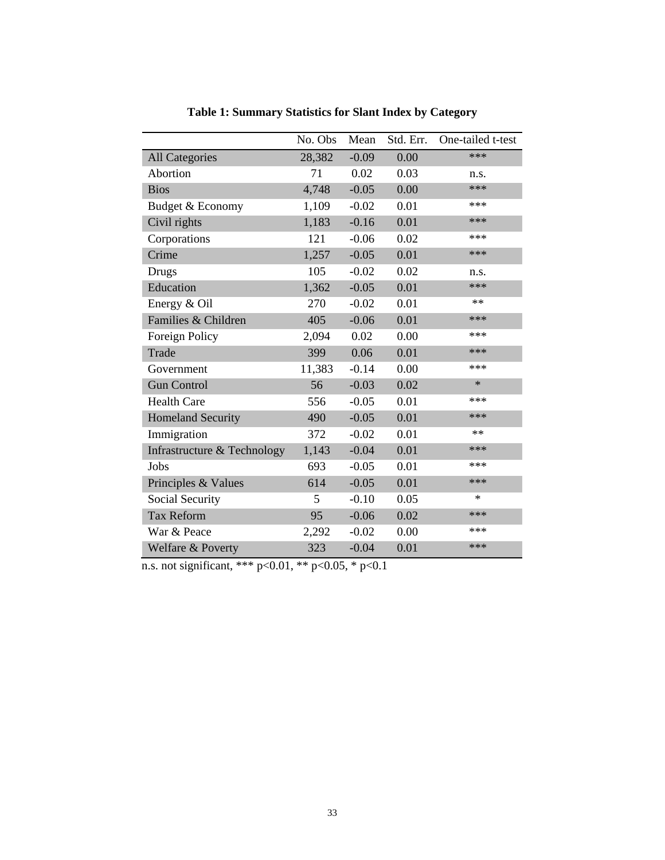|                             | No. Obs | Mean    | Std. Err. | One-tailed t-test |
|-----------------------------|---------|---------|-----------|-------------------|
| <b>All Categories</b>       | 28,382  | $-0.09$ | 0.00      | ***               |
| Abortion                    | 71      | 0.02    | 0.03      | n.s.              |
| <b>Bios</b>                 | 4,748   | $-0.05$ | 0.00      | ***               |
| Budget & Economy            | 1,109   | $-0.02$ | 0.01      | ***               |
| Civil rights                | 1,183   | $-0.16$ | 0.01      | ***               |
| Corporations                | 121     | $-0.06$ | 0.02      | ***               |
| Crime                       | 1,257   | $-0.05$ | 0.01      | ***               |
| Drugs                       | 105     | $-0.02$ | 0.02      | n.s.              |
| Education                   | 1,362   | $-0.05$ | 0.01      | ***               |
| Energy & Oil                | 270     | $-0.02$ | 0.01      | $**$              |
| Families & Children         | 405     | $-0.06$ | 0.01      | ***               |
| Foreign Policy              | 2,094   | 0.02    | 0.00      | ***               |
| Trade                       | 399     | 0.06    | 0.01      | ***               |
| Government                  | 11,383  | $-0.14$ | 0.00      | ***               |
| <b>Gun Control</b>          | 56      | $-0.03$ | 0.02      | $\ast$            |
| <b>Health Care</b>          | 556     | $-0.05$ | 0.01      | ***               |
| <b>Homeland Security</b>    | 490     | $-0.05$ | 0.01      | ***               |
| Immigration                 | 372     | $-0.02$ | 0.01      | **                |
| Infrastructure & Technology | 1,143   | $-0.04$ | 0.01      | ***               |
| Jobs                        | 693     | $-0.05$ | 0.01      | ***               |
| Principles & Values         | 614     | $-0.05$ | 0.01      | ***               |
| Social Security             | 5       | $-0.10$ | 0.05      | $\ast$            |
| <b>Tax Reform</b>           | 95      | $-0.06$ | 0.02      | ***               |
| War & Peace                 | 2,292   | $-0.02$ | 0.00      | ***               |
| Welfare & Poverty           | 323     | $-0.04$ | 0.01      | ***               |

**Table 1: Summary Statistics for Slant Index by Category**

n.s. not significant, \*\*\* p<0.01, \*\* p<0.05, \* p<0.1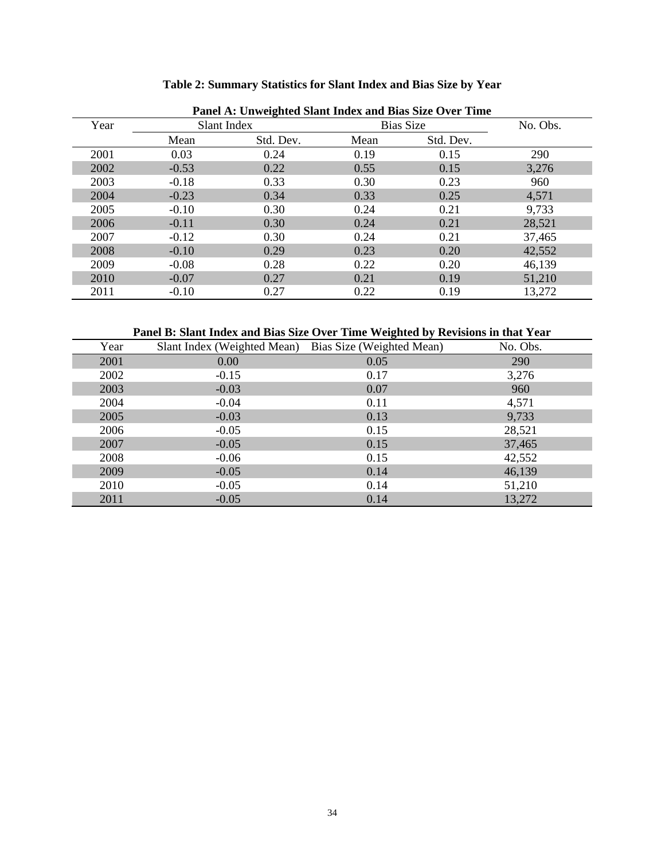|      |         | Panel A: Unweighted Slant Index and Bias Size Over Time |      |                  |          |
|------|---------|---------------------------------------------------------|------|------------------|----------|
| Year |         | Slant Index                                             |      | <b>Bias Size</b> | No. Obs. |
|      | Mean    | Std. Dev.                                               | Mean | Std. Dev.        |          |
| 2001 | 0.03    | 0.24                                                    | 0.19 | 0.15             | 290      |
| 2002 | $-0.53$ | 0.22                                                    | 0.55 | 0.15             | 3,276    |
| 2003 | $-0.18$ | 0.33                                                    | 0.30 | 0.23             | 960      |
| 2004 | $-0.23$ | 0.34                                                    | 0.33 | 0.25             | 4,571    |
| 2005 | $-0.10$ | 0.30                                                    | 0.24 | 0.21             | 9,733    |
| 2006 | $-0.11$ | 0.30                                                    | 0.24 | 0.21             | 28,521   |
| 2007 | $-0.12$ | 0.30                                                    | 0.24 | 0.21             | 37,465   |
| 2008 | $-0.10$ | 0.29                                                    | 0.23 | 0.20             | 42,552   |
| 2009 | $-0.08$ | 0.28                                                    | 0.22 | 0.20             | 46,139   |
| 2010 | $-0.07$ | 0.27                                                    | 0.21 | 0.19             | 51,210   |
| 2011 | $-0.10$ | 0.27                                                    | 0.22 | 0.19             | 13,272   |

### **Table 2: Summary Statistics for Slant Index and Bias Size by Year**

**Panel B: Slant Index and Bias Size Over Time Weighted by Revisions in that Year**

| Year | Slant Index (Weighted Mean) | o<br>$\bullet$<br>Bias Size (Weighted Mean) | No. Obs. |
|------|-----------------------------|---------------------------------------------|----------|
| 2001 | 0.00                        | 0.05                                        | 290      |
| 2002 | $-0.15$                     | 0.17                                        | 3,276    |
| 2003 | $-0.03$                     | 0.07                                        | 960      |
| 2004 | $-0.04$                     | 0.11                                        | 4,571    |
| 2005 | $-0.03$                     | 0.13                                        | 9,733    |
| 2006 | $-0.05$                     | 0.15                                        | 28,521   |
| 2007 | $-0.05$                     | 0.15                                        | 37,465   |
| 2008 | $-0.06$                     | 0.15                                        | 42,552   |
| 2009 | $-0.05$                     | 0.14                                        | 46,139   |
| 2010 | $-0.05$                     | 0.14                                        | 51,210   |
| 2011 | $-0.05$                     | 0.14                                        | 13,272   |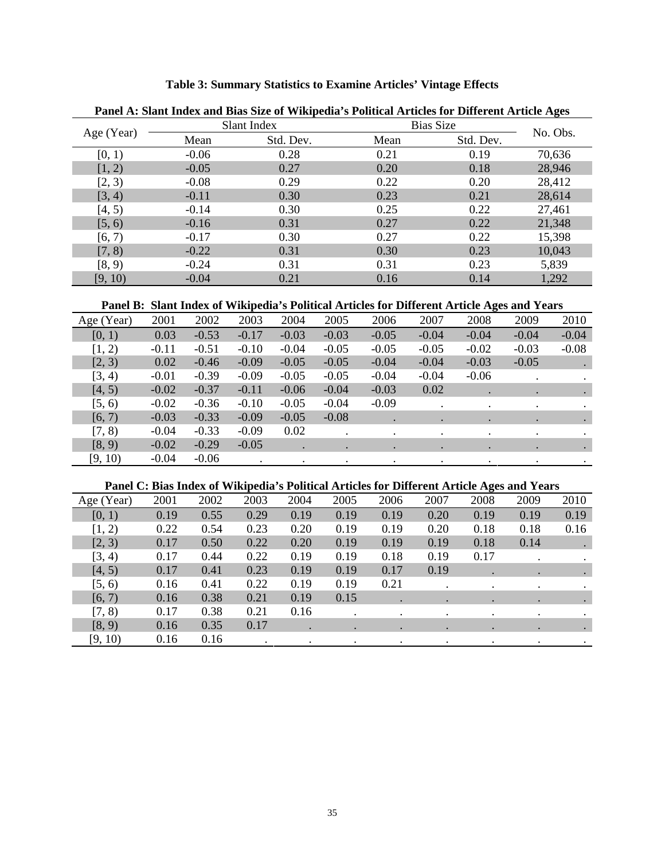| Panel A: Slant Index and Bias Size of Wikipedia's Political Articles for Different Article Ages |         |             |      |                  |          |  |  |
|-------------------------------------------------------------------------------------------------|---------|-------------|------|------------------|----------|--|--|
|                                                                                                 |         | Slant Index |      | <b>Bias Size</b> |          |  |  |
| Age (Year)                                                                                      | Mean    | Std. Dev.   | Mean | Std. Dev.        | No. Obs. |  |  |
| [0, 1)                                                                                          | $-0.06$ | 0.28        | 0.21 | 0.19             | 70,636   |  |  |
| [1, 2)                                                                                          | $-0.05$ | 0.27        | 0.20 | 0.18             | 28,946   |  |  |
| [2, 3)                                                                                          | $-0.08$ | 0.29        | 0.22 | 0.20             | 28,412   |  |  |
| [3, 4)                                                                                          | $-0.11$ | 0.30        | 0.23 | 0.21             | 28,614   |  |  |
| [4, 5)                                                                                          | $-0.14$ | 0.30        | 0.25 | 0.22             | 27,461   |  |  |
| [5, 6)                                                                                          | $-0.16$ | 0.31        | 0.27 | 0.22             | 21,348   |  |  |
| [6, 7)                                                                                          | $-0.17$ | 0.30        | 0.27 | 0.22             | 15,398   |  |  |
| [7, 8)                                                                                          | $-0.22$ | 0.31        | 0.30 | 0.23             | 10,043   |  |  |
| [8, 9)                                                                                          | $-0.24$ | 0.31        | 0.31 | 0.23             | 5,839    |  |  |
| [9, 10)                                                                                         | $-0.04$ | 0.21        | 0.16 | 0.14             | 1,292    |  |  |

**Table 3: Summary Statistics to Examine Articles' Vintage Effects**

**Panel B: Slant Index of Wikipedia's Political Articles for Different Article Ages and Years**

|            |         |         |           |           |           |         |           | $\epsilon$ |           |         |
|------------|---------|---------|-----------|-----------|-----------|---------|-----------|------------|-----------|---------|
| Age (Year) | 2001    | 2002    | 2003      | 2004      | 2005      | 2006    | 2007      | 2008       | 2009      | 2010    |
| [0, 1)     | 0.03    | $-0.53$ | $-0.17$   | $-0.03$   | $-0.03$   | $-0.05$ | $-0.04$   | $-0.04$    | $-0.04$   | $-0.04$ |
| [1, 2)     | $-0.11$ | $-0.51$ | $-0.10$   | $-0.04$   | $-0.05$   | $-0.05$ | $-0.05$   | $-0.02$    | $-0.03$   | $-0.08$ |
| [2, 3)     | 0.02    | $-0.46$ | $-0.09$   | $-0.05$   | $-0.05$   | $-0.04$ | $-0.04$   | $-0.03$    | $-0.05$   |         |
| [3, 4)     | $-0.01$ | $-0.39$ | $-0.09$   | $-0.05$   | $-0.05$   | $-0.04$ | $-0.04$   | $-0.06$    |           |         |
| [4, 5)     | $-0.02$ | $-0.37$ | $-0.11$   | $-0.06$   | $-0.04$   | $-0.03$ | 0.02      |            | $\bullet$ |         |
| [5, 6)     | $-0.02$ | $-0.36$ | $-0.10$   | $-0.05$   | $-0.04$   | $-0.09$ | $\cdot$   | $\cdot$    |           |         |
| [6, 7)     | $-0.03$ | $-0.33$ | $-0.09$   | $-0.05$   | $-0.08$   |         | $\bullet$ |            | $\bullet$ |         |
| [7, 8)     | $-0.04$ | $-0.33$ | $-0.09$   | 0.02      |           |         |           |            |           |         |
| [8, 9)     | $-0.02$ | $-0.29$ | $-0.05$   | $\bullet$ |           |         | $\bullet$ |            |           |         |
| [9, 10)    | $-0.04$ | $-0.06$ | $\bullet$ | $\cdot$   | $\bullet$ | ٠       | $\bullet$ | $\bullet$  |           |         |

|            | Panel C: Bias Index of Wikipedia's Political Articles for Different Article Ages and Years |      |      |      |      |      |      |      |           |      |
|------------|--------------------------------------------------------------------------------------------|------|------|------|------|------|------|------|-----------|------|
| Age (Year) | 2001                                                                                       | 2002 | 2003 | 2004 | 2005 | 2006 | 2007 | 2008 | 2009      | 2010 |
| [0, 1)     | 0.19                                                                                       | 0.55 | 0.29 | 0.19 | 0.19 | 0.19 | 0.20 | 0.19 | 0.19      | 0.19 |
| [1, 2)     | 0.22                                                                                       | 0.54 | 0.23 | 0.20 | 0.19 | 0.19 | 0.20 | 0.18 | 0.18      | 0.16 |
| [2, 3)     | 0.17                                                                                       | 0.50 | 0.22 | 0.20 | 0.19 | 0.19 | 0.19 | 0.18 | 0.14      |      |
| [3, 4)     | 0.17                                                                                       | 0.44 | 0.22 | 0.19 | 0.19 | 0.18 | 0.19 | 0.17 |           |      |
| [4, 5)     | 0.17                                                                                       | 0.41 | 0.23 | 0.19 | 0.19 | 0.17 | 0.19 |      | $\bullet$ |      |
| [5, 6)     | 0.16                                                                                       | 0.41 | 0.22 | 0.19 | 0.19 | 0.21 |      |      |           |      |
| [6, 7)     | 0.16                                                                                       | 0.38 | 0.21 | 0.19 | 0.15 |      |      |      |           |      |
| [7, 8)     | 0.17                                                                                       | 0.38 | 0.21 | 0.16 |      |      |      |      |           |      |
| [8, 9)     | 0.16                                                                                       | 0.35 | 0.17 |      |      |      |      |      | $\bullet$ |      |
| [9, 10)    | 0.16                                                                                       | 0.16 |      |      |      |      |      |      |           |      |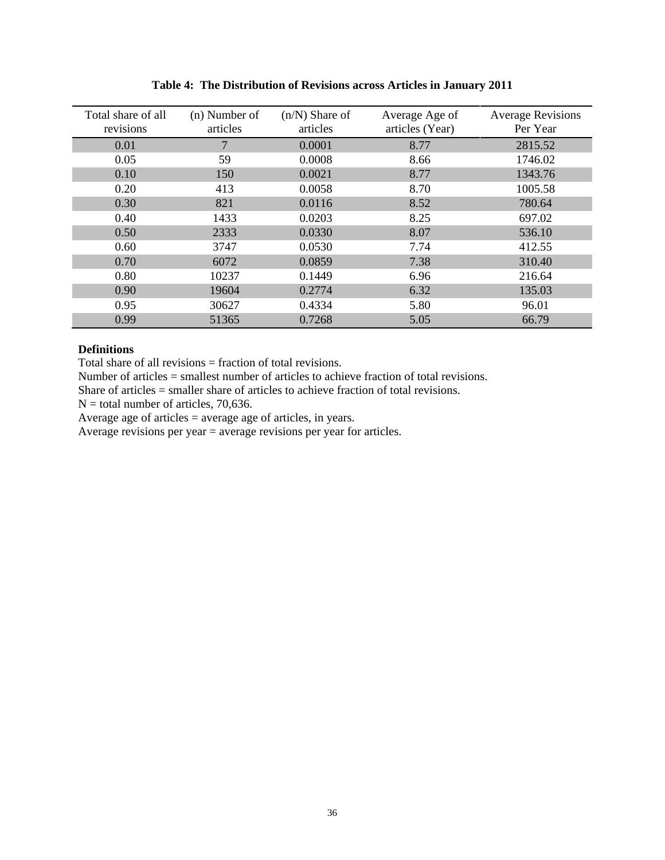| Total share of all<br>revisions | $(n)$ Number of<br>articles | $(n/N)$ Share of<br>articles | Average Age of<br>articles (Year) | <b>Average Revisions</b><br>Per Year |
|---------------------------------|-----------------------------|------------------------------|-----------------------------------|--------------------------------------|
| 0.01                            | 7                           | 0.0001                       | 8.77                              | 2815.52                              |
| 0.05                            | 59                          | 0.0008                       | 8.66                              | 1746.02                              |
| 0.10                            | 150                         | 0.0021                       | 8.77                              | 1343.76                              |
| 0.20                            | 413                         | 0.0058                       | 8.70                              | 1005.58                              |
| 0.30                            | 821                         | 0.0116                       | 8.52                              | 780.64                               |
| 0.40                            | 1433                        | 0.0203                       | 8.25                              | 697.02                               |
| 0.50                            | 2333                        | 0.0330                       | 8.07                              | 536.10                               |
| 0.60                            | 3747                        | 0.0530                       | 7.74                              | 412.55                               |
| 0.70                            | 6072                        | 0.0859                       | 7.38                              | 310.40                               |
| 0.80                            | 10237                       | 0.1449                       | 6.96                              | 216.64                               |
| 0.90                            | 19604                       | 0.2774                       | 6.32                              | 135.03                               |
| 0.95                            | 30627                       | 0.4334                       | 5.80                              | 96.01                                |
| 0.99                            | 51365                       | 0.7268                       | 5.05                              | 66.79                                |

**Table 4: The Distribution of Revisions across Articles in January 2011**

### **Definitions**

Total share of all revisions = fraction of total revisions.

Number of articles = smallest number of articles to achieve fraction of total revisions.

Share of articles = smaller share of articles to achieve fraction of total revisions.

 $N =$  total number of articles, 70,636.

Average age of articles = average age of articles, in years.

Average revisions per year = average revisions per year for articles.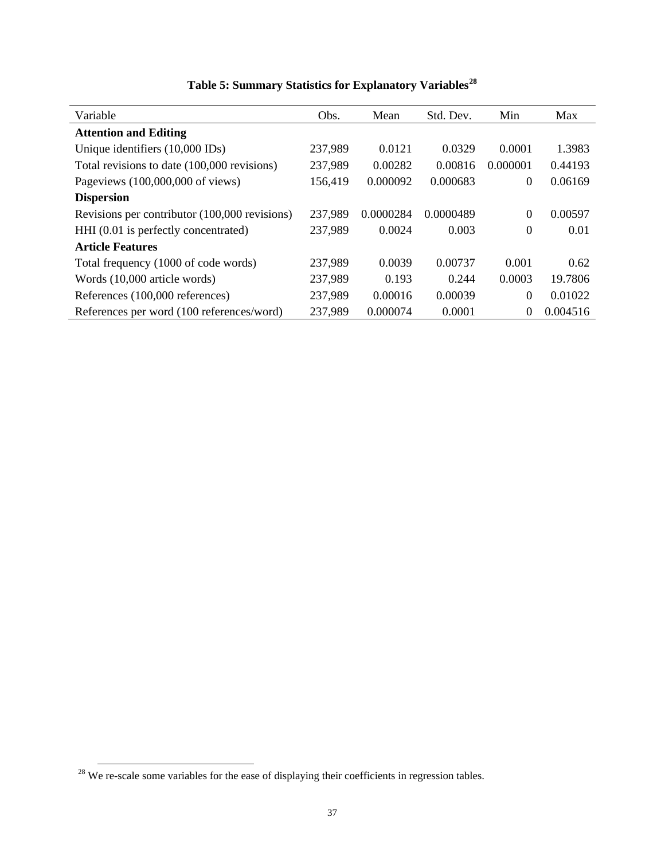| Variable                                      | Obs.    | Mean      | Std. Dev. | Min      | Max      |
|-----------------------------------------------|---------|-----------|-----------|----------|----------|
| <b>Attention and Editing</b>                  |         |           |           |          |          |
| Unique identifiers (10,000 IDs)               | 237,989 | 0.0121    | 0.0329    | 0.0001   | 1.3983   |
| Total revisions to date (100,000 revisions)   | 237,989 | 0.00282   | 0.00816   | 0.000001 | 0.44193  |
| Pageviews (100,000,000 of views)              | 156,419 | 0.000092  | 0.000683  | $\theta$ | 0.06169  |
| <b>Dispersion</b>                             |         |           |           |          |          |
| Revisions per contributor (100,000 revisions) | 237,989 | 0.0000284 | 0.0000489 | $\theta$ | 0.00597  |
| HHI (0.01 is perfectly concentrated)          | 237,989 | 0.0024    | 0.003     | $\theta$ | 0.01     |
| <b>Article Features</b>                       |         |           |           |          |          |
| Total frequency (1000 of code words)          | 237,989 | 0.0039    | 0.00737   | 0.001    | 0.62     |
| Words (10,000 article words)                  | 237,989 | 0.193     | 0.244     | 0.0003   | 19.7806  |
| References (100,000 references)               | 237,989 | 0.00016   | 0.00039   | $\Omega$ | 0.01022  |
| References per word (100 references/word)     | 237,989 | 0.000074  | 0.0001    | 0        | 0.004516 |

# **Table 5: Summary Statistics for Explanatory Variables[28](#page-37-0)**

<span id="page-37-0"></span><sup>&</sup>lt;sup>28</sup> We re-scale some variables for the ease of displaying their coefficients in regression tables.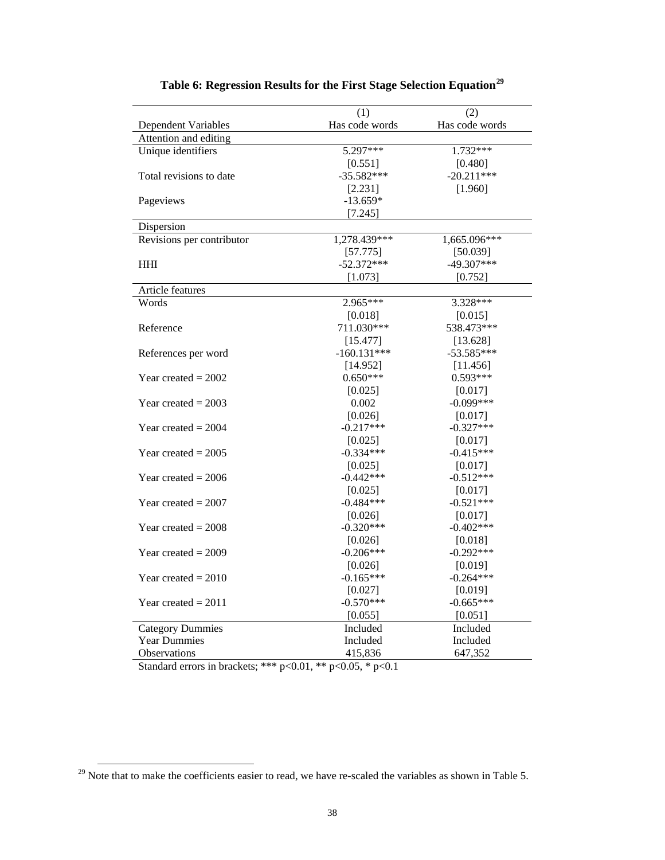|                                                | (1)                    | (2)                    |
|------------------------------------------------|------------------------|------------------------|
| <b>Dependent Variables</b>                     | Has code words         | Has code words         |
| Attention and editing                          |                        |                        |
| Unique identifiers                             | 5.297***               | $1.732***$             |
|                                                | [0.551]                | [0.480]                |
| Total revisions to date                        | $-35.582***$           | $-20.211***$           |
|                                                | [2.231]                | [1.960]                |
| Pageviews                                      | $-13.659*$             |                        |
|                                                | [7.245]                |                        |
| Dispersion                                     |                        |                        |
| Revisions per contributor                      | 1,278.439***           | $1,665.096***$         |
|                                                | [57.775]               | [50.039]               |
| <b>HHI</b>                                     | $-52.372***$           | $-49.307***$           |
|                                                | [1.073]                | [0.752]                |
| Article features                               |                        |                        |
| Words                                          | 2.965***               | 3.328***               |
|                                                | [0.018]                | [0.015]                |
| Reference                                      | 711.030***             | 538.473***             |
|                                                | [15.477]               | [13.628]               |
| References per word                            | $-160.131***$          | $-53.585***$           |
|                                                | [14.952]               | [11.456]               |
| Year created $= 2002$                          | $0.650***$             | $0.593***$             |
|                                                | [0.025]                | [0.017]                |
| Year created $= 2003$                          | 0.002                  | $-0.099***$            |
|                                                | [0.026]                | [0.017]                |
| Year created $= 2004$                          | $-0.217***$            | $-0.327***$            |
|                                                | [0.025]                | [0.017]                |
| Year created $= 2005$                          | $-0.334***$            | $-0.415***$            |
|                                                | [0.025]                | [0.017]                |
| Year created $= 2006$                          | $-0.442***$            | $-0.512***$            |
|                                                | [0.025]                | [0.017]                |
| Year created $= 2007$                          | $-0.484***$            | $-0.521***$            |
|                                                | [0.026]                | [0.017]                |
| Year created $= 2008$                          | $-0.320***$            | $-0.402***$            |
|                                                | [0.026]                | [0.018]                |
| Year created $= 2009$                          | $-0.206***$            | $-0.292***$            |
|                                                | [0.026]<br>$-0.165***$ | [0.019]<br>$-0.264***$ |
| Year created $= 2010$                          |                        |                        |
| Year created $= 2011$                          | [0.027]<br>$-0.570***$ | [0.019]<br>$-0.665***$ |
|                                                | [0.055]                | [0.051]                |
|                                                | Included               | Included               |
| <b>Category Dummies</b><br><b>Year Dummies</b> | Included               | Included               |
| Observations                                   | 415,836                | 647,352                |
|                                                |                        |                        |

# **Table 6: Regression Results for the First Stage Selection Equation[29](#page-38-0)**

Standard errors in brackets; \*\*\* p<0.01, \*\* p<0.05, \* p<0.1

<span id="page-38-0"></span><sup>&</sup>lt;sup>29</sup> Note that to make the coefficients easier to read, we have re-scaled the variables as shown in Table 5.